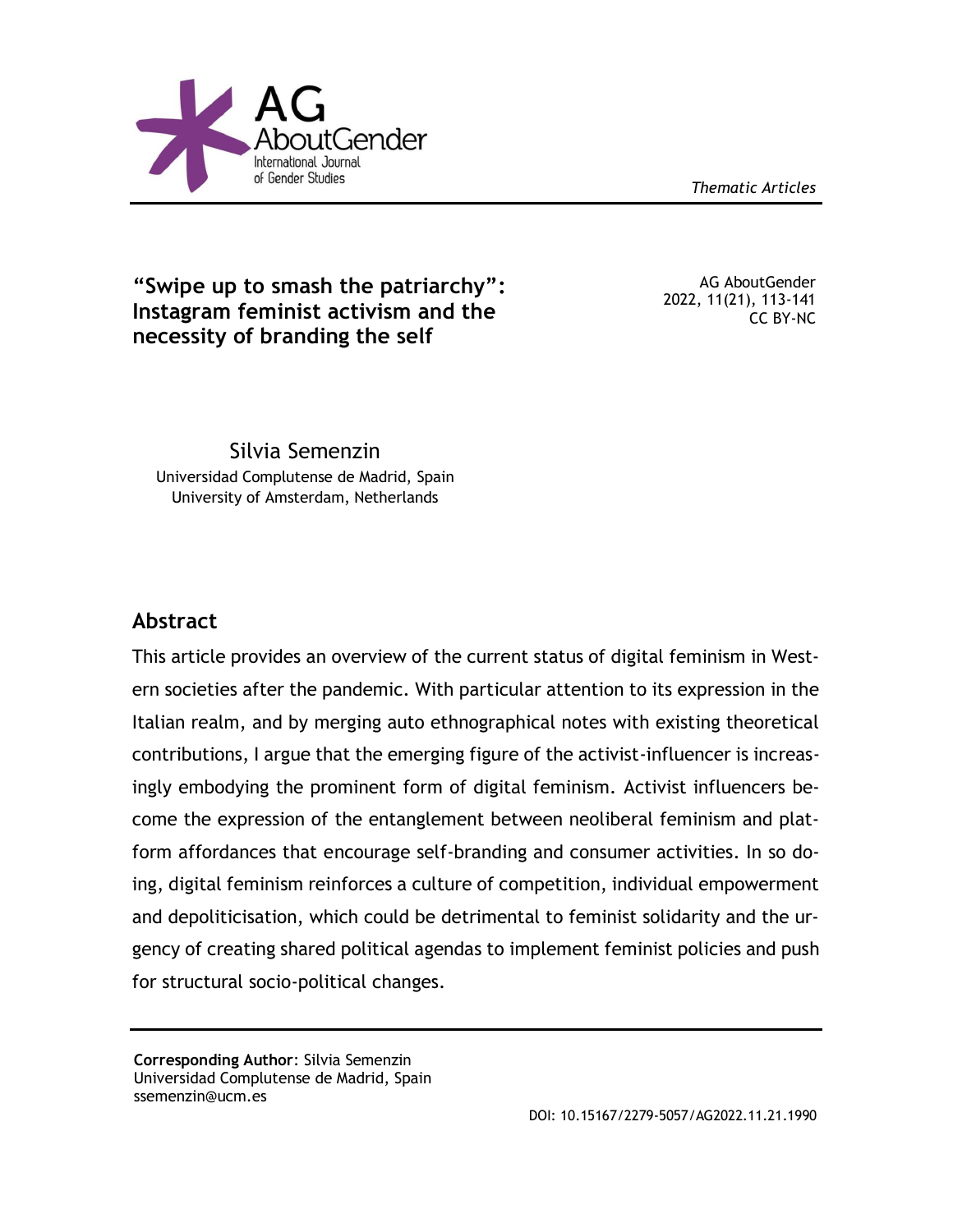

*Thematic Articles*

# **"Swipe up to smash the patriarchy": Instagram feminist activism and the necessity of branding the self**

AG AboutGender 2022, 11(21), 113-141 CC BY-NC

Silvia Semenzin Universidad Complutense de Madrid, Spain University of Amsterdam, Netherlands

# **Abstract**

This article provides an overview of the current status of digital feminism in Western societies after the pandemic. With particular attention to its expression in the Italian realm, and by merging auto ethnographical notes with existing theoretical contributions, I argue that the emerging figure of the activist-influencer is increasingly embodying the prominent form of digital feminism. Activist influencers become the expression of the entanglement between neoliberal feminism and platform affordances that encourage self-branding and consumer activities. In so doing, digital feminism reinforces a culture of competition, individual empowerment and depoliticisation, which could be detrimental to feminist solidarity and the urgency of creating shared political agendas to implement feminist policies and push for structural socio-political changes.

**Corresponding Author**: Silvia Semenzin Universidad Complutense de Madrid, Spain ssemenzin@ucm.es

DOI: 10.15167/2279-5057/AG2022.11.21.1990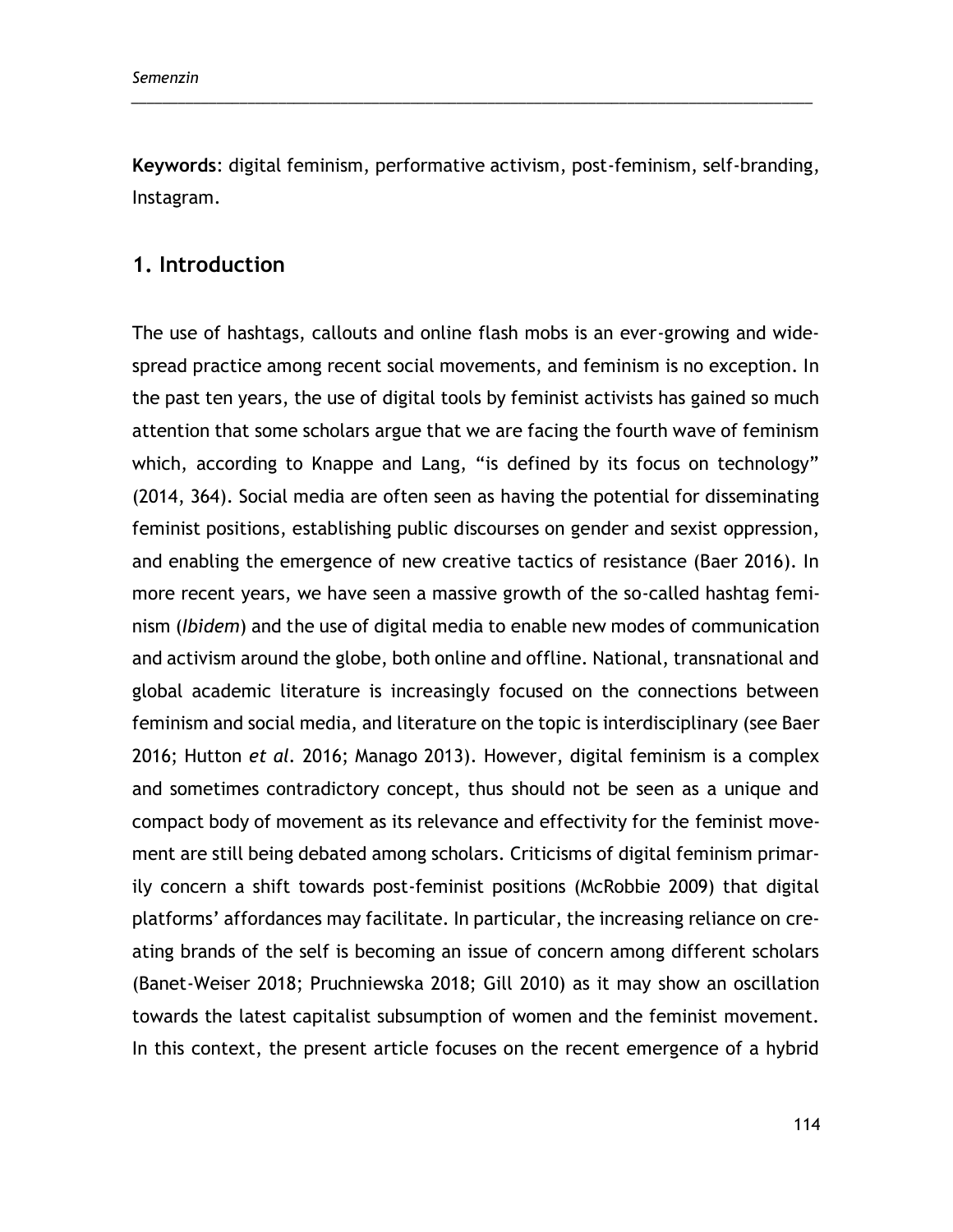**Keywords**: digital feminism, performative activism, post-feminism, self-branding, Instagram.

\_\_\_\_\_\_\_\_\_\_\_\_\_\_\_\_\_\_\_\_\_\_\_\_\_\_\_\_\_\_\_\_\_\_\_\_\_\_\_\_\_\_\_\_\_\_\_\_\_\_\_\_\_\_\_\_\_\_\_\_\_\_\_\_\_\_\_\_\_\_\_\_\_\_\_\_\_\_\_\_\_\_\_\_\_\_\_\_

## **1. Introduction**

The use of hashtags, callouts and online flash mobs is an ever-growing and widespread practice among recent social movements, and feminism is no exception. In the past ten years, the use of digital tools by feminist activists has gained so much attention that some scholars argue that we are facing the fourth wave of feminism which, according to Knappe and Lang, "is defined by its focus on technology" (2014, 364). Social media are often seen as having the potential for disseminating feminist positions, establishing public discourses on gender and sexist oppression, and enabling the emergence of new creative tactics of resistance (Baer 2016). In more recent years, we have seen a massive growth of the so-called hashtag feminism (*Ibidem*) and the use of digital media to enable new modes of communication and activism around the globe, both online and offline. National, transnational and global academic literature is increasingly focused on the connections between feminism and social media, and literature on the topic is interdisciplinary (see Baer 2016; Hutton *et al.* 2016; Manago 2013). However, digital feminism is a complex and sometimes contradictory concept, thus should not be seen as a unique and compact body of movement as its relevance and effectivity for the feminist movement are still being debated among scholars. Criticisms of digital feminism primarily concern a shift towards post-feminist positions (McRobbie 2009) that digital platforms' affordances may facilitate. In particular, the increasing reliance on creating brands of the self is becoming an issue of concern among different scholars (Banet-Weiser 2018; Pruchniewska 2018; Gill 2010) as it may show an oscillation towards the latest capitalist subsumption of women and the feminist movement. In this context, the present article focuses on the recent emergence of a hybrid

114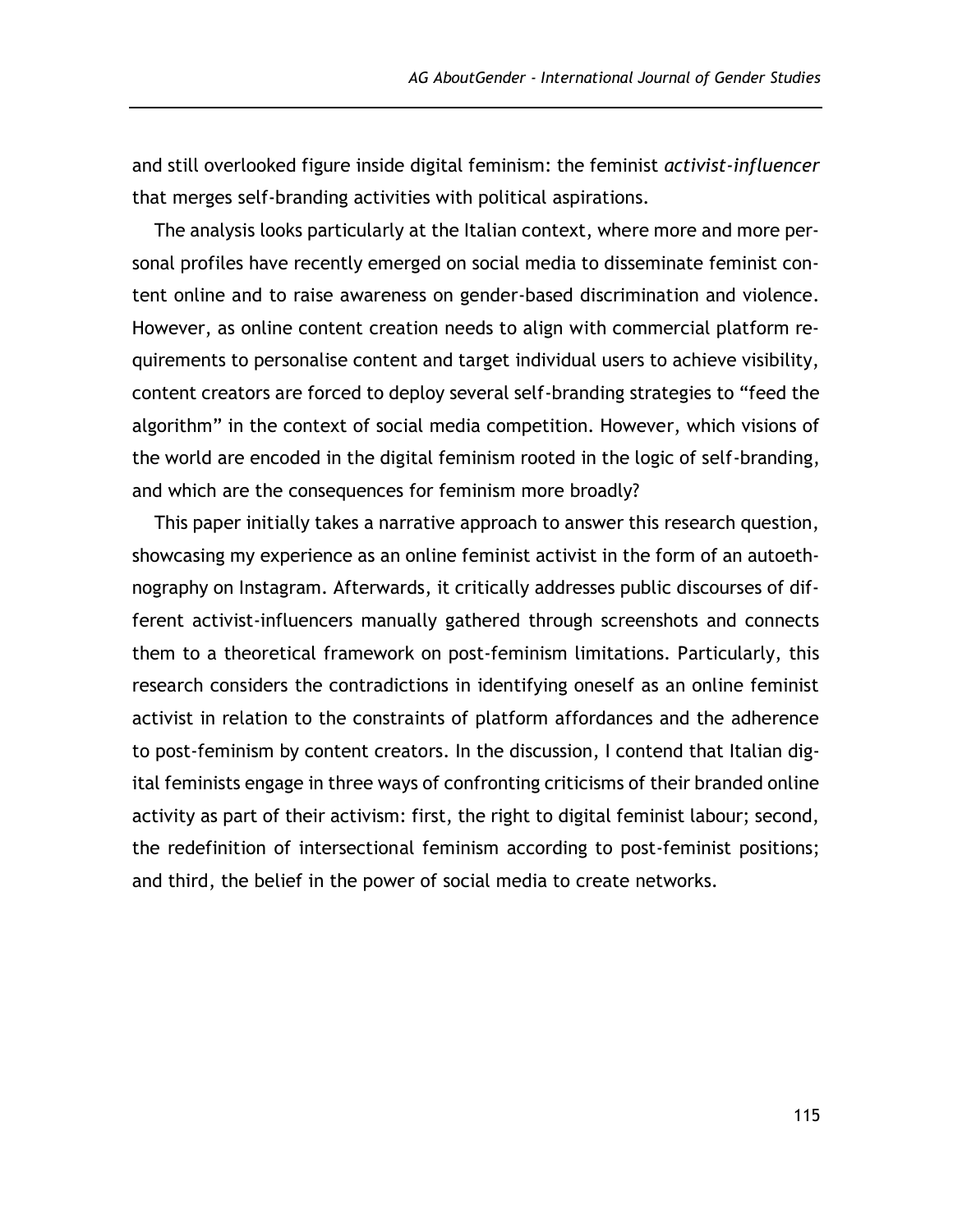and still overlooked figure inside digital feminism: the feminist *activist-influencer*  that merges self-branding activities with political aspirations.

The analysis looks particularly at the Italian context, where more and more personal profiles have recently emerged on social media to disseminate feminist content online and to raise awareness on gender-based discrimination and violence. However, as online content creation needs to align with commercial platform requirements to personalise content and target individual users to achieve visibility, content creators are forced to deploy several self-branding strategies to "feed the algorithm" in the context of social media competition. However, which visions of the world are encoded in the digital feminism rooted in the logic of self-branding, and which are the consequences for feminism more broadly?

This paper initially takes a narrative approach to answer this research question, showcasing my experience as an online feminist activist in the form of an autoethnography on Instagram. Afterwards, it critically addresses public discourses of different activist-influencers manually gathered through screenshots and connects them to a theoretical framework on post-feminism limitations. Particularly, this research considers the contradictions in identifying oneself as an online feminist activist in relation to the constraints of platform affordances and the adherence to post-feminism by content creators. In the discussion, I contend that Italian digital feminists engage in three ways of confronting criticisms of their branded online activity as part of their activism: first, the right to digital feminist labour; second, the redefinition of intersectional feminism according to post-feminist positions; and third, the belief in the power of social media to create networks.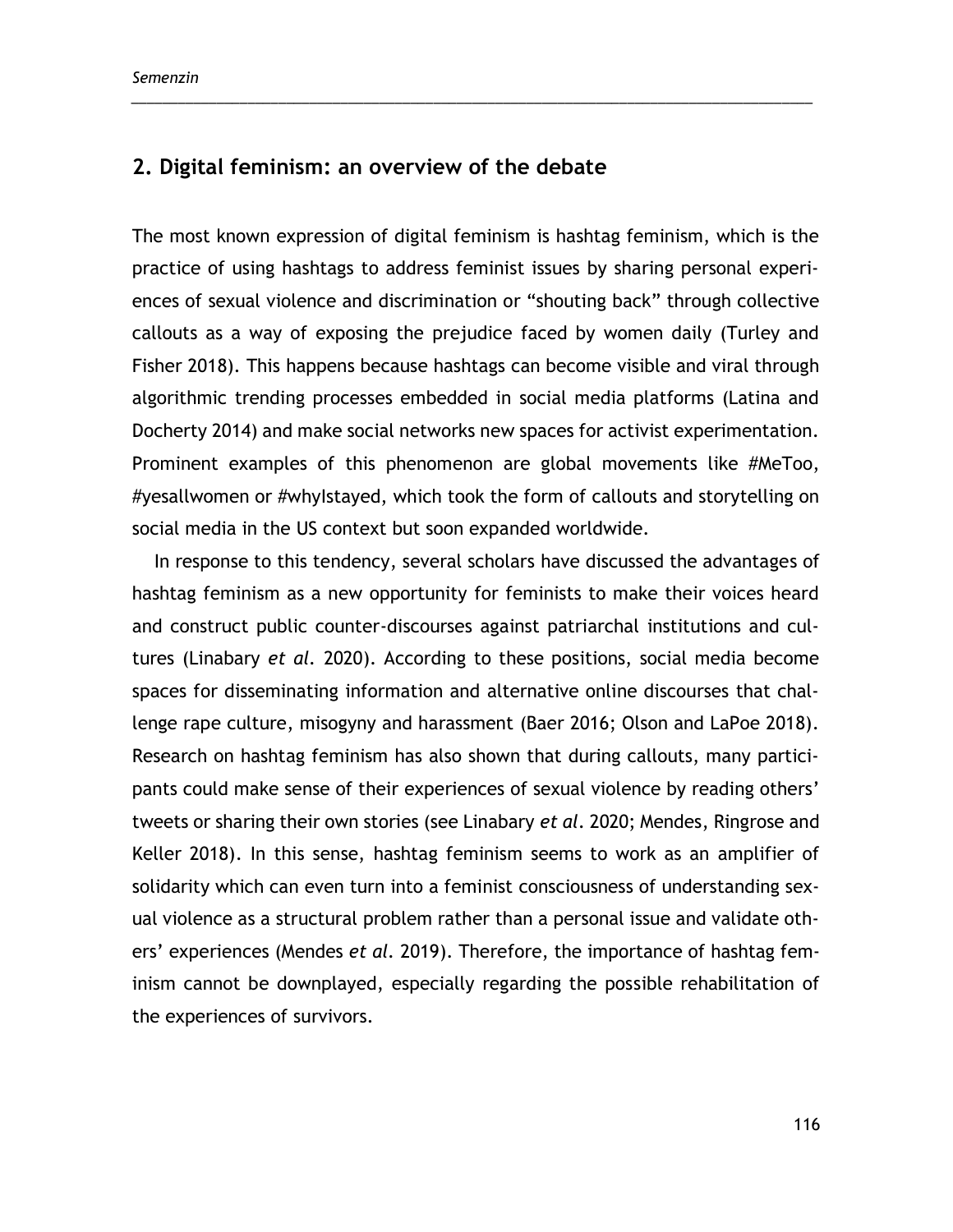## **2. Digital feminism: an overview of the debate**

The most known expression of digital feminism is hashtag feminism, which is the practice of using hashtags to address feminist issues by sharing personal experiences of sexual violence and discrimination or "shouting back" through collective callouts as a way of exposing the prejudice faced by women daily (Turley and Fisher 2018). This happens because hashtags can become visible and viral through algorithmic trending processes embedded in social media platforms (Latina and Docherty 2014) and make social networks new spaces for activist experimentation. Prominent examples of this phenomenon are global movements like #MeToo, #yesallwomen or #whyIstayed, which took the form of callouts and storytelling on social media in the US context but soon expanded worldwide.

\_\_\_\_\_\_\_\_\_\_\_\_\_\_\_\_\_\_\_\_\_\_\_\_\_\_\_\_\_\_\_\_\_\_\_\_\_\_\_\_\_\_\_\_\_\_\_\_\_\_\_\_\_\_\_\_\_\_\_\_\_\_\_\_\_\_\_\_\_\_\_\_\_\_\_\_\_\_\_\_\_\_\_\_\_\_\_\_

In response to this tendency, several scholars have discussed the advantages of hashtag feminism as a new opportunity for feminists to make their voices heard and construct public counter-discourses against patriarchal institutions and cultures (Linabary *et al.* 2020). According to these positions, social media become spaces for disseminating information and alternative online discourses that challenge rape culture, misogyny and harassment (Baer 2016; Olson and LaPoe 2018). Research on hashtag feminism has also shown that during callouts, many participants could make sense of their experiences of sexual violence by reading others' tweets or sharing their own stories (see Linabary *et al*. 2020; Mendes, Ringrose and Keller 2018). In this sense, hashtag feminism seems to work as an amplifier of solidarity which can even turn into a feminist consciousness of understanding sexual violence as a structural problem rather than a personal issue and validate others' experiences (Mendes *et al.* 2019). Therefore, the importance of hashtag feminism cannot be downplayed, especially regarding the possible rehabilitation of the experiences of survivors.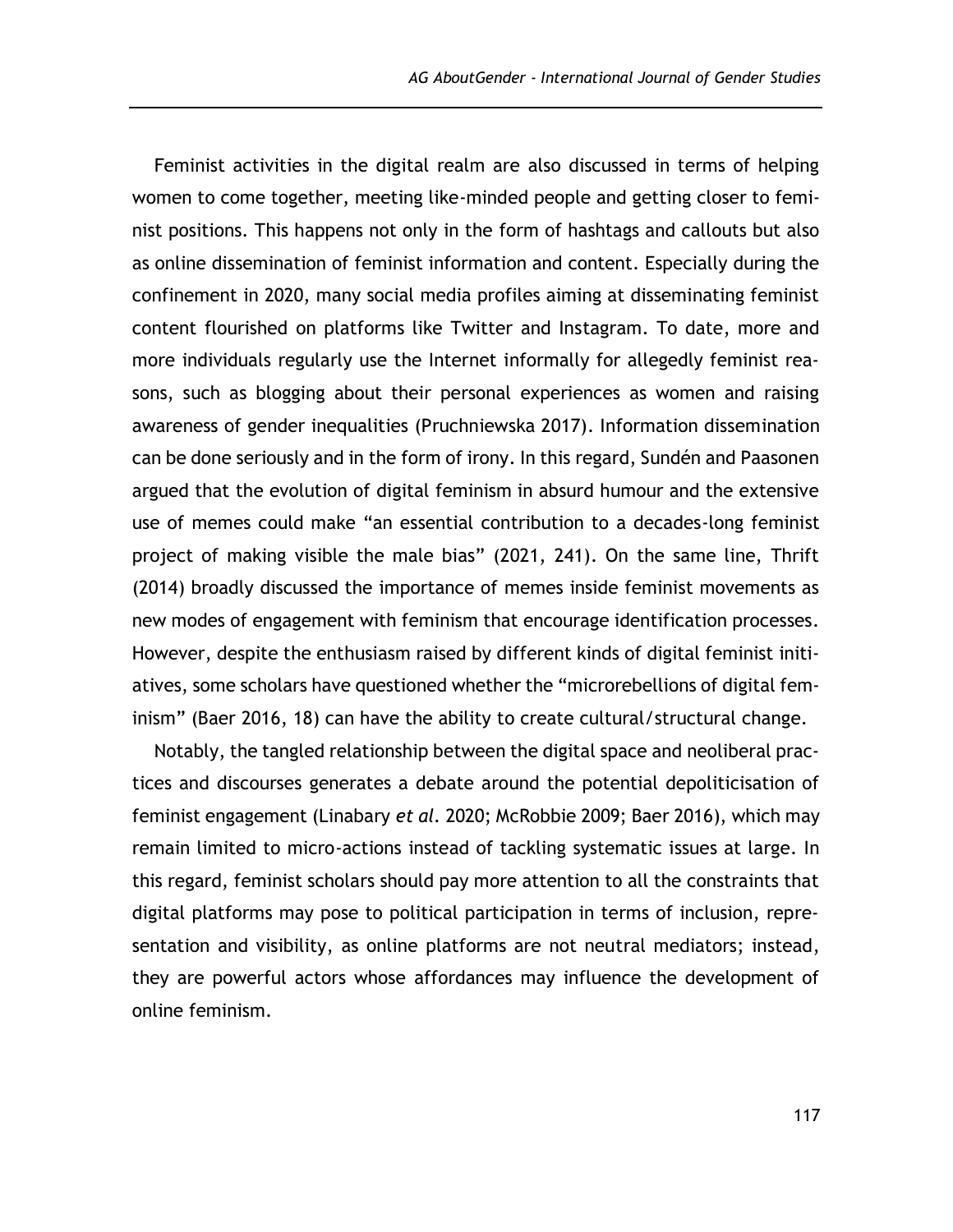Feminist activities in the digital realm are also discussed in terms of helping women to come together, meeting like-minded people and getting closer to feminist positions. This happens not only in the form of hashtags and callouts but also as online dissemination of feminist information and content. Especially during the confinement in 2020, many social media profiles aiming at disseminating feminist content flourished on platforms like Twitter and Instagram. To date, more and more individuals regularly use the Internet informally for allegedly feminist reasons, such as blogging about their personal experiences as women and raising awareness of gender inequalities (Pruchniewska 2017). Information dissemination can be done seriously and in the form of irony. In this regard, Sundén and Paasonen argued that the evolution of digital feminism in absurd humour and the extensive use of memes could make "an essential contribution to a decades-long feminist project of making visible the male bias" (2021, 241). On the same line, Thrift (2014) broadly discussed the importance of memes inside feminist movements as new modes of engagement with feminism that encourage identification processes. However, despite the enthusiasm raised by different kinds of digital feminist initiatives, some scholars have questioned whether the "microrebellions of digital feminism" (Baer 2016, 18) can have the ability to create cultural/structural change.

Notably, the tangled relationship between the digital space and neoliberal practices and discourses generates a debate around the potential depoliticisation of feminist engagement (Linabary *et al.* 2020; McRobbie 2009; Baer 2016), which may remain limited to micro-actions instead of tackling systematic issues at large. In this regard, feminist scholars should pay more attention to all the constraints that digital platforms may pose to political participation in terms of inclusion, representation and visibility, as online platforms are not neutral mediators; instead, they are powerful actors whose affordances may influence the development of online feminism.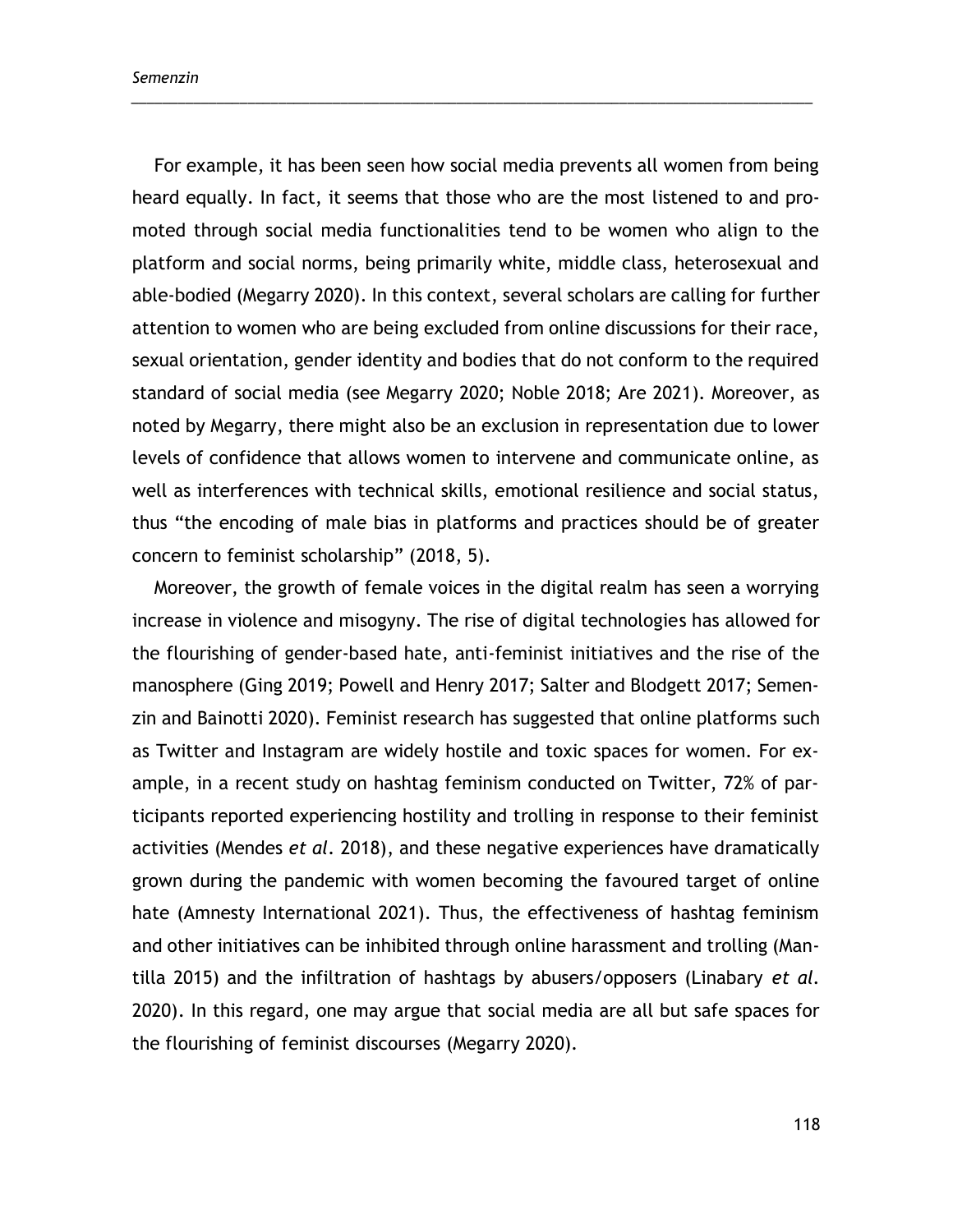For example, it has been seen how social media prevents all women from being heard equally. In fact, it seems that those who are the most listened to and promoted through social media functionalities tend to be women who align to the platform and social norms, being primarily white, middle class, heterosexual and able-bodied (Megarry 2020). In this context, several scholars are calling for further attention to women who are being excluded from online discussions for their race, sexual orientation, gender identity and bodies that do not conform to the required standard of social media (see Megarry 2020; Noble 2018; Are 2021). Moreover, as noted by Megarry, there might also be an exclusion in representation due to lower levels of confidence that allows women to intervene and communicate online, as well as interferences with technical skills, emotional resilience and social status, thus "the encoding of male bias in platforms and practices should be of greater concern to feminist scholarship" (2018, 5).

\_\_\_\_\_\_\_\_\_\_\_\_\_\_\_\_\_\_\_\_\_\_\_\_\_\_\_\_\_\_\_\_\_\_\_\_\_\_\_\_\_\_\_\_\_\_\_\_\_\_\_\_\_\_\_\_\_\_\_\_\_\_\_\_\_\_\_\_\_\_\_\_\_\_\_\_\_\_\_\_\_\_\_\_\_\_\_\_

Moreover, the growth of female voices in the digital realm has seen a worrying increase in violence and misogyny. The rise of digital technologies has allowed for the flourishing of gender-based hate, anti-feminist initiatives and the rise of the manosphere (Ging 2019; Powell and Henry 2017; Salter and Blodgett 2017; Semenzin and Bainotti 2020). Feminist research has suggested that online platforms such as Twitter and Instagram are widely hostile and toxic spaces for women. For example, in a recent study on hashtag feminism conducted on Twitter, 72% of participants reported experiencing hostility and trolling in response to their feminist activities (Mendes *et al.* 2018), and these negative experiences have dramatically grown during the pandemic with women becoming the favoured target of online hate (Amnesty International 2021). Thus, the effectiveness of hashtag feminism and other initiatives can be inhibited through online harassment and trolling (Mantilla 2015) and the infiltration of hashtags by abusers/opposers (Linabary *et al.* 2020). In this regard, one may argue that social media are all but safe spaces for the flourishing of feminist discourses (Megarry 2020).

118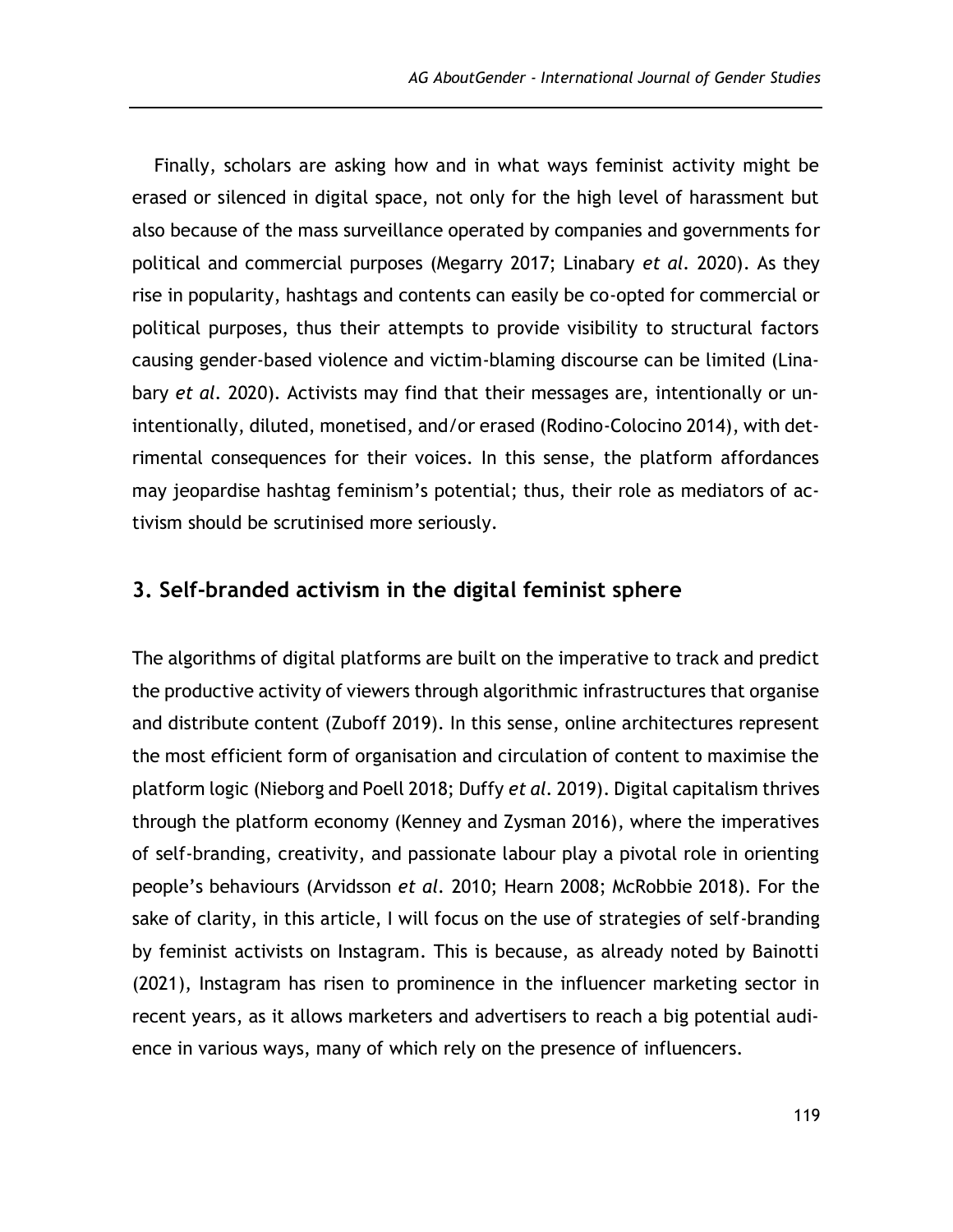Finally, scholars are asking how and in what ways feminist activity might be erased or silenced in digital space, not only for the high level of harassment but also because of the mass surveillance operated by companies and governments for political and commercial purposes (Megarry 2017; Linabary *et al.* 2020). As they rise in popularity, hashtags and contents can easily be co-opted for commercial or political purposes, thus their attempts to provide visibility to structural factors causing gender-based violence and victim-blaming discourse can be limited (Linabary *et al.* 2020). Activists may find that their messages are, intentionally or unintentionally, diluted, monetised, and/or erased (Rodino-Colocino 2014), with detrimental consequences for their voices. In this sense, the platform affordances may jeopardise hashtag feminism's potential; thus, their role as mediators of activism should be scrutinised more seriously.

### **3. Self-branded activism in the digital feminist sphere**

The algorithms of digital platforms are built on the imperative to track and predict the productive activity of viewers through algorithmic infrastructures that organise and distribute content (Zuboff 2019). In this sense, online architectures represent the most efficient form of organisation and circulation of content to maximise the platform logic (Nieborg and Poell 2018; Duffy *et al.* 2019). Digital capitalism thrives through the platform economy (Kenney and Zysman 2016), where the imperatives of self-branding, creativity, and passionate labour play a pivotal role in orienting people's behaviours (Arvidsson *et al.* 2010; Hearn 2008; McRobbie 2018). For the sake of clarity, in this article, I will focus on the use of strategies of self-branding by feminist activists on Instagram. This is because, as already noted by Bainotti (2021), Instagram has risen to prominence in the influencer marketing sector in recent years, as it allows marketers and advertisers to reach a big potential audience in various ways, many of which rely on the presence of influencers.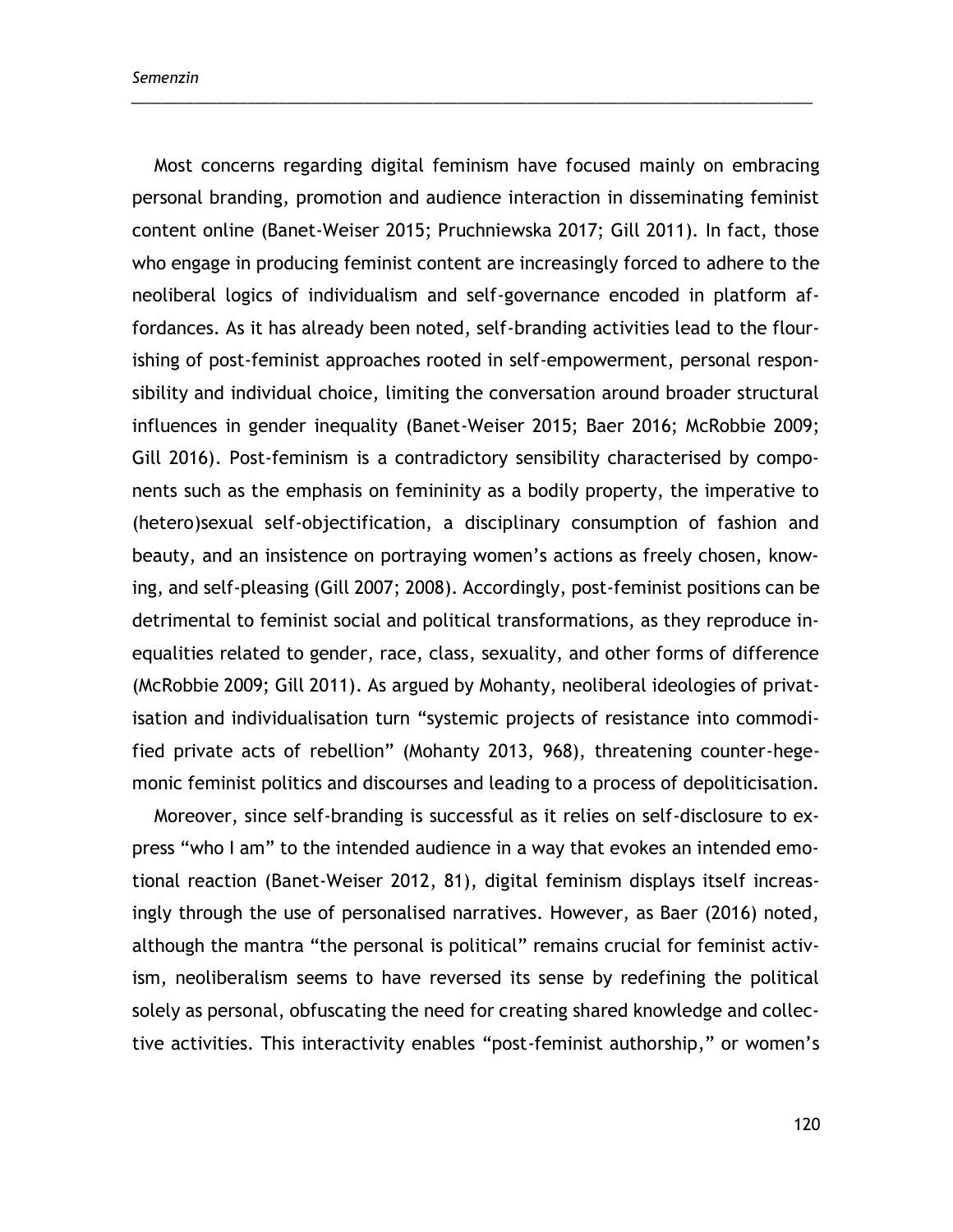Most concerns regarding digital feminism have focused mainly on embracing personal branding, promotion and audience interaction in disseminating feminist content online (Banet-Weiser 2015; Pruchniewska 2017; Gill 2011). In fact, those who engage in producing feminist content are increasingly forced to adhere to the neoliberal logics of individualism and self-governance encoded in platform affordances. As it has already been noted, self-branding activities lead to the flourishing of post-feminist approaches rooted in self-empowerment, personal responsibility and individual choice, limiting the conversation around broader structural influences in gender inequality (Banet-Weiser 2015; Baer 2016; McRobbie 2009; Gill 2016). Post-feminism is a contradictory sensibility characterised by components such as the emphasis on femininity as a bodily property, the imperative to (hetero)sexual self-objectification, a disciplinary consumption of fashion and beauty, and an insistence on portraying women's actions as freely chosen, knowing, and self-pleasing (Gill 2007; 2008). Accordingly, post-feminist positions can be detrimental to feminist social and political transformations, as they reproduce inequalities related to gender, race, class, sexuality, and other forms of difference (McRobbie 2009; Gill 2011). As argued by Mohanty, neoliberal ideologies of privatisation and individualisation turn "systemic projects of resistance into commodified private acts of rebellion" (Mohanty 2013, 968), threatening counter-hegemonic feminist politics and discourses and leading to a process of depoliticisation.

\_\_\_\_\_\_\_\_\_\_\_\_\_\_\_\_\_\_\_\_\_\_\_\_\_\_\_\_\_\_\_\_\_\_\_\_\_\_\_\_\_\_\_\_\_\_\_\_\_\_\_\_\_\_\_\_\_\_\_\_\_\_\_\_\_\_\_\_\_\_\_\_\_\_\_\_\_\_\_\_\_\_\_\_\_\_\_\_

Moreover, since self-branding is successful as it relies on self-disclosure to express "who I am" to the intended audience in a way that evokes an intended emotional reaction (Banet-Weiser 2012, 81), digital feminism displays itself increasingly through the use of personalised narratives. However, as Baer (2016) noted, although the mantra "the personal is political" remains crucial for feminist activism, neoliberalism seems to have reversed its sense by redefining the political solely as personal, obfuscating the need for creating shared knowledge and collective activities. This interactivity enables "post-feminist authorship," or women's

120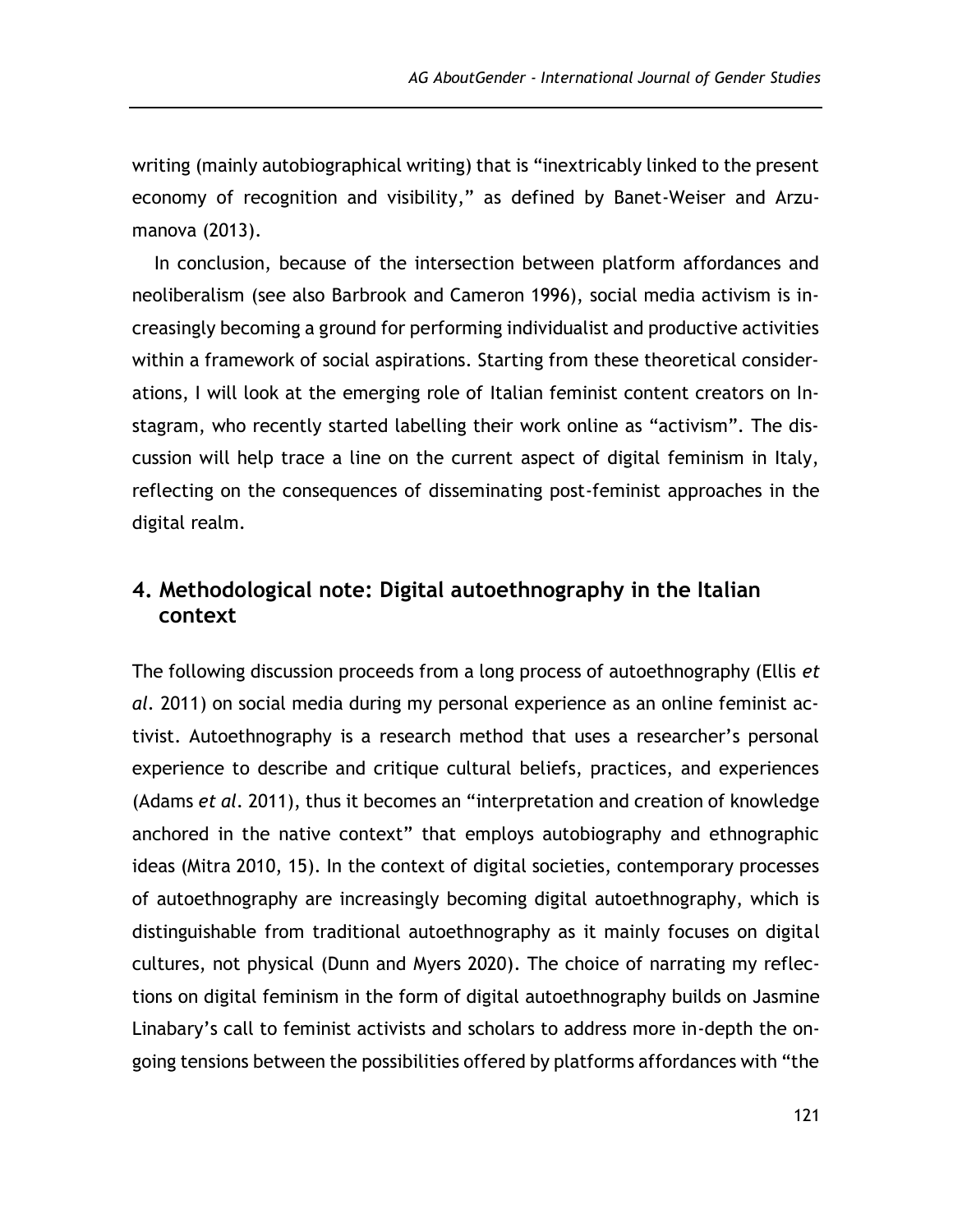writing (mainly autobiographical writing) that is "inextricably linked to the present economy of recognition and visibility," as defined by Banet-Weiser and Arzumanova (2013).

In conclusion, because of the intersection between platform affordances and neoliberalism (see also Barbrook and Cameron 1996), social media activism is increasingly becoming a ground for performing individualist and productive activities within a framework of social aspirations. Starting from these theoretical considerations, I will look at the emerging role of Italian feminist content creators on Instagram, who recently started labelling their work online as "activism". The discussion will help trace a line on the current aspect of digital feminism in Italy, reflecting on the consequences of disseminating post-feminist approaches in the digital realm.

## **4. Methodological note: Digital autoethnography in the Italian context**

The following discussion proceeds from a long process of autoethnography (Ellis *et al.* 2011) on social media during my personal experience as an online feminist activist. Autoethnography is a research method that uses a researcher's personal experience to describe and critique cultural beliefs, practices, and experiences (Adams *et al.* 2011), thus it becomes an "interpretation and creation of knowledge anchored in the native context" that employs autobiography and ethnographic ideas (Mitra 2010, 15). In the context of digital societies, contemporary processes of autoethnography are increasingly becoming digital autoethnography, which is distinguishable from traditional autoethnography as it mainly focuses on digital cultures, not physical (Dunn and Myers 2020). The choice of narrating my reflections on digital feminism in the form of digital autoethnography builds on Jasmine Linabary's call to feminist activists and scholars to address more in-depth the ongoing tensions between the possibilities offered by platforms affordances with "the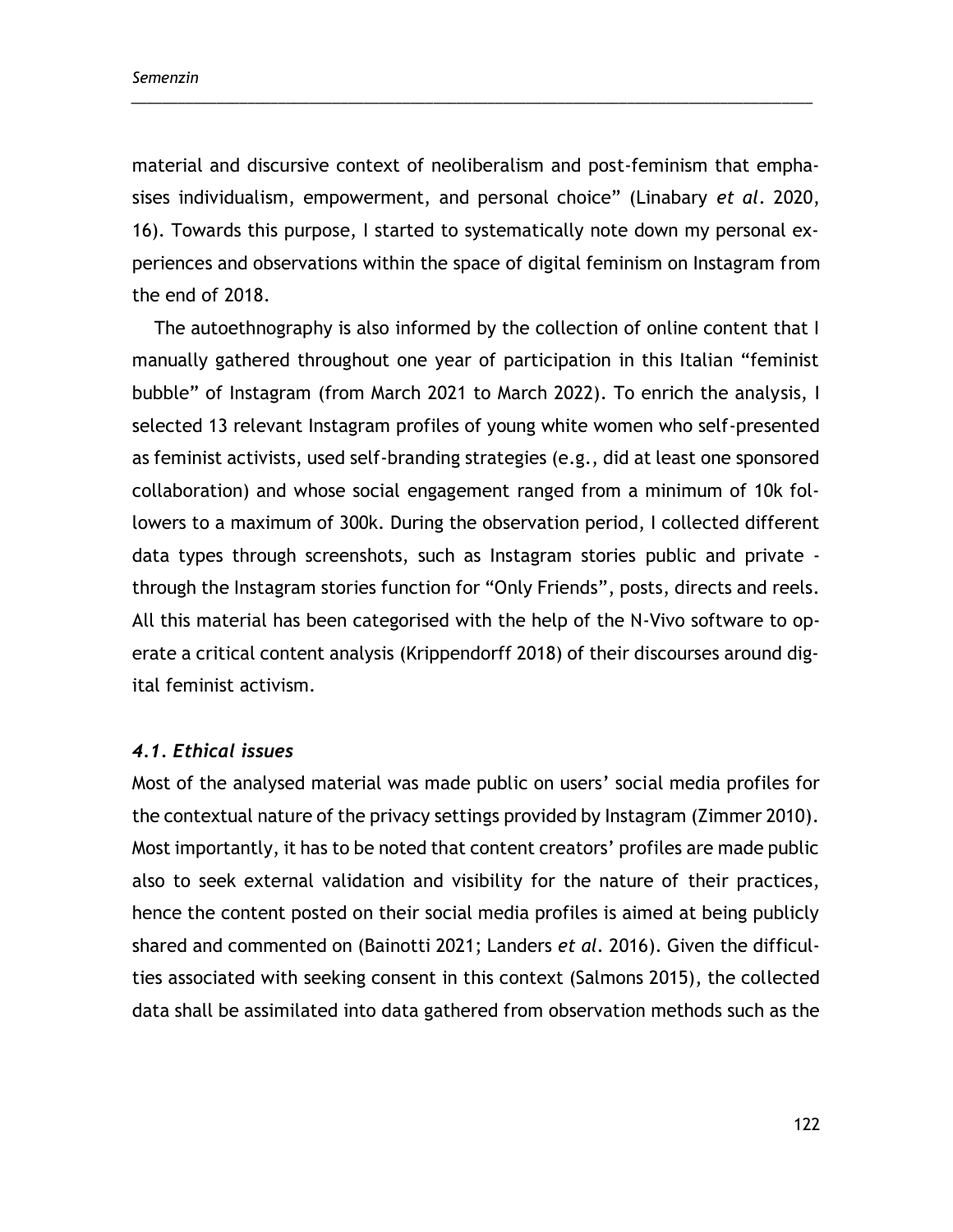material and discursive context of neoliberalism and post-feminism that emphasises individualism, empowerment, and personal choice" (Linabary *et al*. 2020, 16). Towards this purpose, I started to systematically note down my personal experiences and observations within the space of digital feminism on Instagram from the end of 2018.

\_\_\_\_\_\_\_\_\_\_\_\_\_\_\_\_\_\_\_\_\_\_\_\_\_\_\_\_\_\_\_\_\_\_\_\_\_\_\_\_\_\_\_\_\_\_\_\_\_\_\_\_\_\_\_\_\_\_\_\_\_\_\_\_\_\_\_\_\_\_\_\_\_\_\_\_\_\_\_\_\_\_\_\_\_\_\_\_

The autoethnography is also informed by the collection of online content that I manually gathered throughout one year of participation in this Italian "feminist bubble" of Instagram (from March 2021 to March 2022). To enrich the analysis, I selected 13 relevant Instagram profiles of young white women who self-presented as feminist activists, used self-branding strategies (e.g., did at least one sponsored collaboration) and whose social engagement ranged from a minimum of 10k followers to a maximum of 300k. During the observation period, I collected different data types through screenshots, such as Instagram stories public and private through the Instagram stories function for "Only Friends", posts, directs and reels. All this material has been categorised with the help of the N-Vivo software to operate a critical content analysis (Krippendorff 2018) of their discourses around digital feminist activism.

#### *4.1. Ethical issues*

Most of the analysed material was made public on users' social media profiles for the contextual nature of the privacy settings provided by Instagram (Zimmer 2010). Most importantly, it has to be noted that content creators' profiles are made public also to seek external validation and visibility for the nature of their practices, hence the content posted on their social media profiles is aimed at being publicly shared and commented on (Bainotti 2021; Landers *et al*. 2016). Given the difficulties associated with seeking consent in this context (Salmons 2015), the collected data shall be assimilated into data gathered from observation methods such as the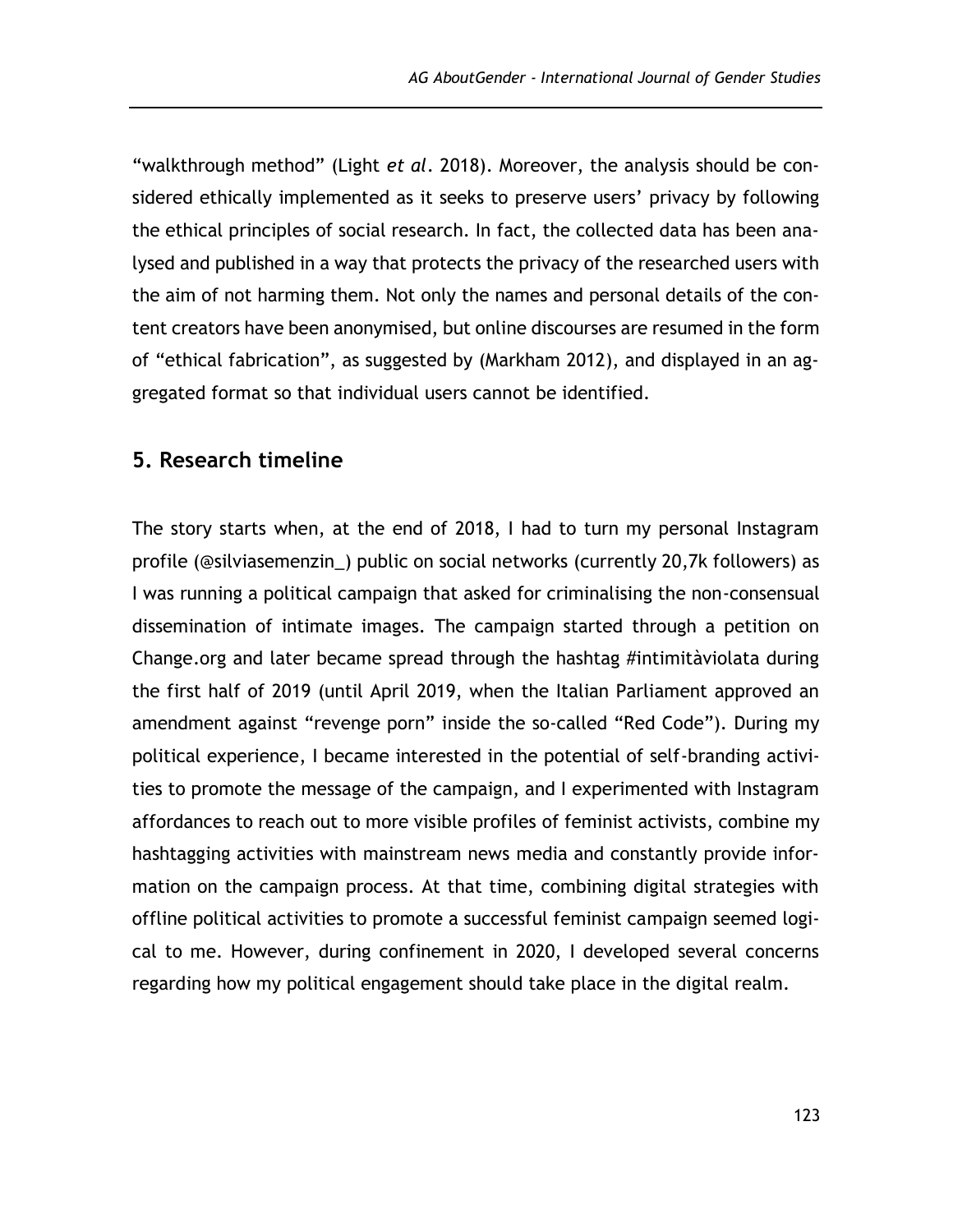"walkthrough method" (Light *et al*. 2018). Moreover, the analysis should be considered ethically implemented as it seeks to preserve users' privacy by following the ethical principles of social research. In fact, the collected data has been analysed and published in a way that protects the privacy of the researched users with the aim of not harming them. Not only the names and personal details of the content creators have been anonymised, but online discourses are resumed in the form of "ethical fabrication", as suggested by (Markham 2012), and displayed in an aggregated format so that individual users cannot be identified.

#### **5. Research timeline**

The story starts when, at the end of 2018, I had to turn my personal Instagram profile (@silviasemenzin\_) public on social networks (currently 20,7k followers) as I was running a political campaign that asked for criminalising the non-consensual dissemination of intimate images. The campaign started through a petition on Change.org and later became spread through the hashtag #intimitàviolata during the first half of 2019 (until April 2019, when the Italian Parliament approved an amendment against "revenge porn" inside the so-called "Red Code"). During my political experience, I became interested in the potential of self-branding activities to promote the message of the campaign, and I experimented with Instagram affordances to reach out to more visible profiles of feminist activists, combine my hashtagging activities with mainstream news media and constantly provide information on the campaign process. At that time, combining digital strategies with offline political activities to promote a successful feminist campaign seemed logical to me. However, during confinement in 2020, I developed several concerns regarding how my political engagement should take place in the digital realm.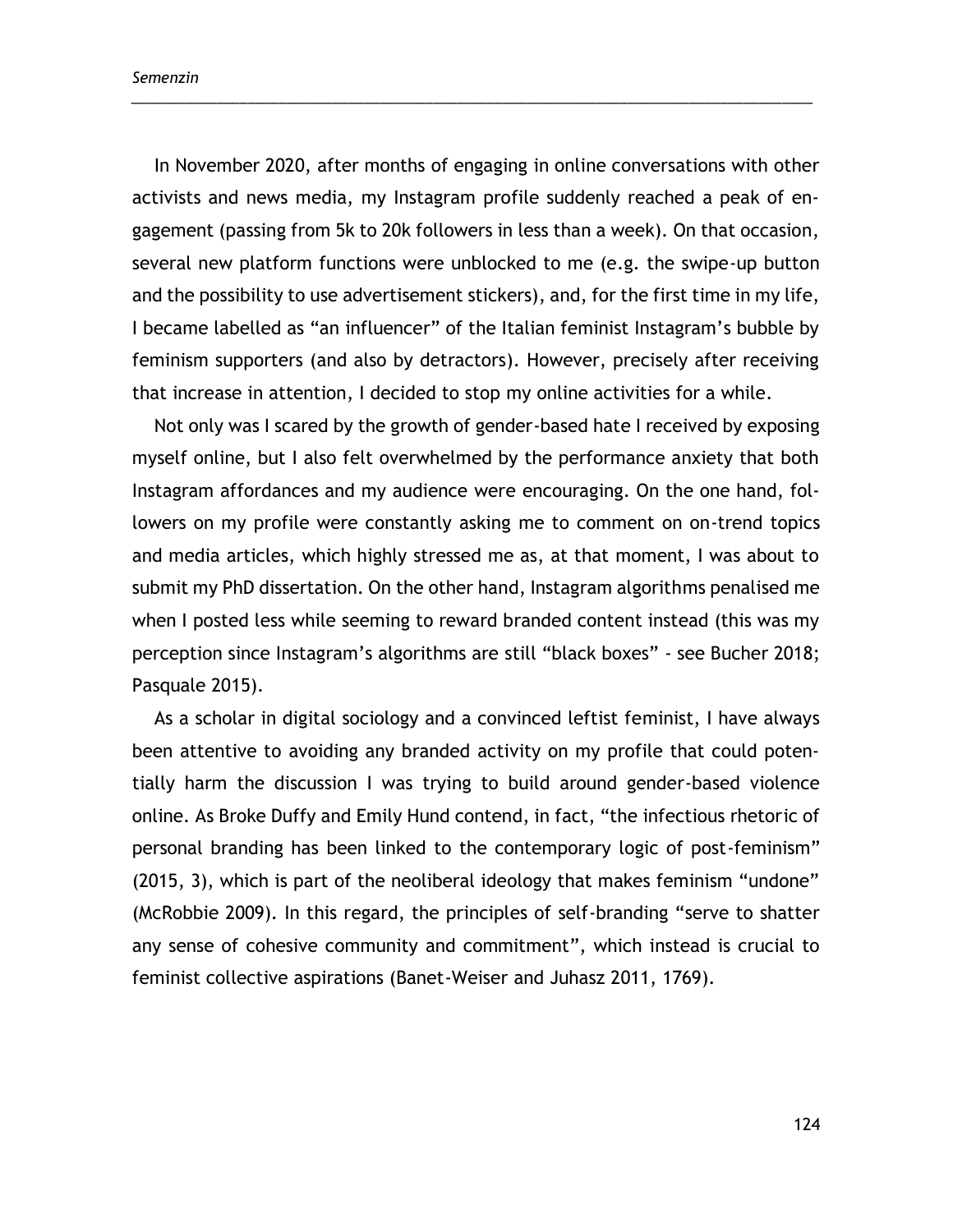In November 2020, after months of engaging in online conversations with other activists and news media, my Instagram profile suddenly reached a peak of engagement (passing from 5k to 20k followers in less than a week). On that occasion, several new platform functions were unblocked to me (e.g. the swipe-up button and the possibility to use advertisement stickers), and, for the first time in my life, I became labelled as "an influencer" of the Italian feminist Instagram's bubble by feminism supporters (and also by detractors). However, precisely after receiving that increase in attention, I decided to stop my online activities for a while.

\_\_\_\_\_\_\_\_\_\_\_\_\_\_\_\_\_\_\_\_\_\_\_\_\_\_\_\_\_\_\_\_\_\_\_\_\_\_\_\_\_\_\_\_\_\_\_\_\_\_\_\_\_\_\_\_\_\_\_\_\_\_\_\_\_\_\_\_\_\_\_\_\_\_\_\_\_\_\_\_\_\_\_\_\_\_\_\_

Not only was I scared by the growth of gender-based hate I received by exposing myself online, but I also felt overwhelmed by the performance anxiety that both Instagram affordances and my audience were encouraging. On the one hand, followers on my profile were constantly asking me to comment on on-trend topics and media articles, which highly stressed me as, at that moment, I was about to submit my PhD dissertation. On the other hand, Instagram algorithms penalised me when I posted less while seeming to reward branded content instead (this was my perception since Instagram's algorithms are still "black boxes" - see Bucher 2018; Pasquale 2015).

As a scholar in digital sociology and a convinced leftist feminist, I have always been attentive to avoiding any branded activity on my profile that could potentially harm the discussion I was trying to build around gender-based violence online. As Broke Duffy and Emily Hund contend, in fact, "the infectious rhetoric of personal branding has been linked to the contemporary logic of post-feminism" (2015, 3), which is part of the neoliberal ideology that makes feminism "undone" (McRobbie 2009). In this regard, the principles of self-branding "serve to shatter any sense of cohesive community and commitment", which instead is crucial to feminist collective aspirations (Banet-Weiser and Juhasz 2011, 1769).

124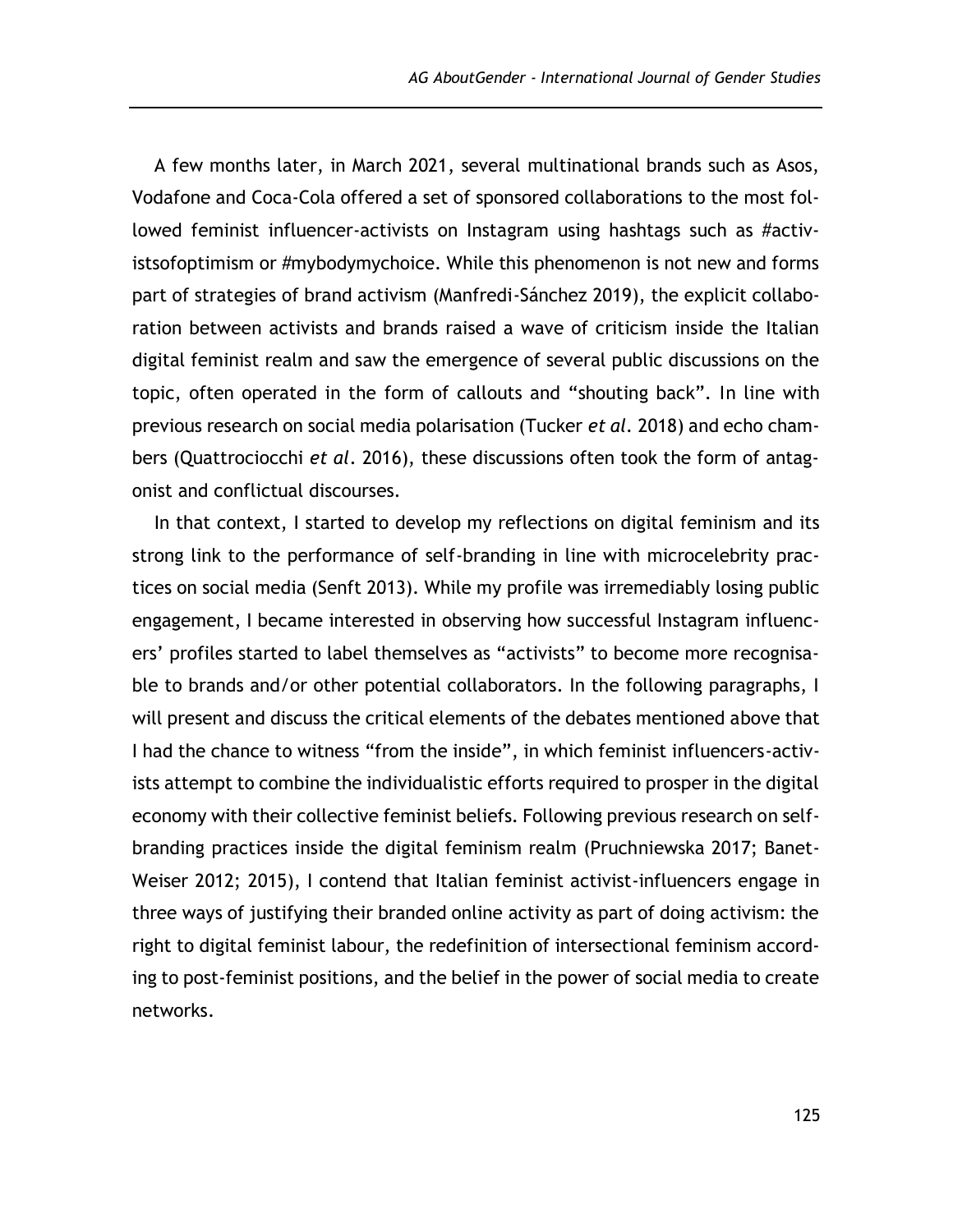A few months later, in March 2021, several multinational brands such as Asos, Vodafone and Coca-Cola offered a set of sponsored collaborations to the most followed feminist influencer-activists on Instagram using hashtags such as #activistsofoptimism or #mybodymychoice. While this phenomenon is not new and forms part of strategies of brand activism (Manfredi-Sánchez 2019), the explicit collaboration between activists and brands raised a wave of criticism inside the Italian digital feminist realm and saw the emergence of several public discussions on the topic, often operated in the form of callouts and "shouting back". In line with previous research on social media polarisation (Tucker *et al.* 2018) and echo chambers (Quattrociocchi *et al*. 2016), these discussions often took the form of antagonist and conflictual discourses.

In that context, I started to develop my reflections on digital feminism and its strong link to the performance of self-branding in line with microcelebrity practices on social media (Senft 2013). While my profile was irremediably losing public engagement, I became interested in observing how successful Instagram influencers' profiles started to label themselves as "activists" to become more recognisable to brands and/or other potential collaborators. In the following paragraphs, I will present and discuss the critical elements of the debates mentioned above that I had the chance to witness "from the inside", in which feminist influencers-activists attempt to combine the individualistic efforts required to prosper in the digital economy with their collective feminist beliefs. Following previous research on selfbranding practices inside the digital feminism realm (Pruchniewska 2017; Banet-Weiser 2012; 2015), I contend that Italian feminist activist-influencers engage in three ways of justifying their branded online activity as part of doing activism: the right to digital feminist labour, the redefinition of intersectional feminism according to post-feminist positions, and the belief in the power of social media to create networks.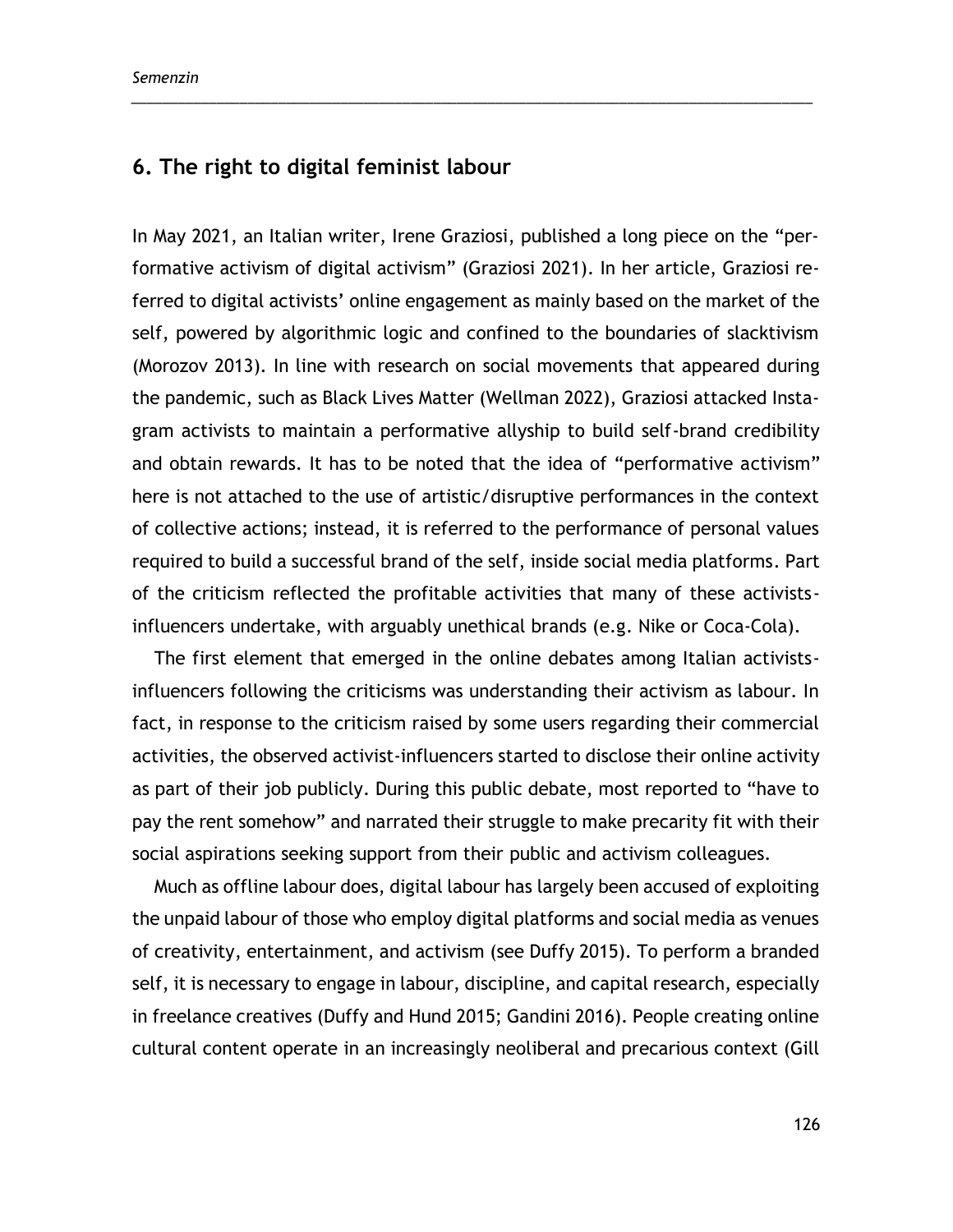## **6. The right to digital feminist labour**

In May 2021, an Italian writer, Irene Graziosi, published a long piece on the "performative activism of digital activism" (Graziosi 2021). In her article, Graziosi referred to digital activists' online engagement as mainly based on the market of the self, powered by algorithmic logic and confined to the boundaries of slacktivism (Morozov 2013). In line with research on social movements that appeared during the pandemic, such as Black Lives Matter (Wellman 2022), Graziosi attacked Instagram activists to maintain a performative allyship to build self-brand credibility and obtain rewards. It has to be noted that the idea of "performative activism" here is not attached to the use of artistic/disruptive performances in the context of collective actions; instead, it is referred to the performance of personal values required to build a successful brand of the self, inside social media platforms. Part of the criticism reflected the profitable activities that many of these activistsinfluencers undertake, with arguably unethical brands (e.g. Nike or Coca-Cola).

\_\_\_\_\_\_\_\_\_\_\_\_\_\_\_\_\_\_\_\_\_\_\_\_\_\_\_\_\_\_\_\_\_\_\_\_\_\_\_\_\_\_\_\_\_\_\_\_\_\_\_\_\_\_\_\_\_\_\_\_\_\_\_\_\_\_\_\_\_\_\_\_\_\_\_\_\_\_\_\_\_\_\_\_\_\_\_\_

The first element that emerged in the online debates among Italian activistsinfluencers following the criticisms was understanding their activism as labour. In fact, in response to the criticism raised by some users regarding their commercial activities, the observed activist-influencers started to disclose their online activity as part of their job publicly. During this public debate, most reported to "have to pay the rent somehow" and narrated their struggle to make precarity fit with their social aspirations seeking support from their public and activism colleagues.

Much as offline labour does, digital labour has largely been accused of exploiting the unpaid labour of those who employ digital platforms and social media as venues of creativity, entertainment, and activism (see Duffy 2015). To perform a branded self, it is necessary to engage in labour, discipline, and capital research, especially in freelance creatives (Duffy and Hund 2015; Gandini 2016). People creating online cultural content operate in an increasingly neoliberal and precarious context (Gill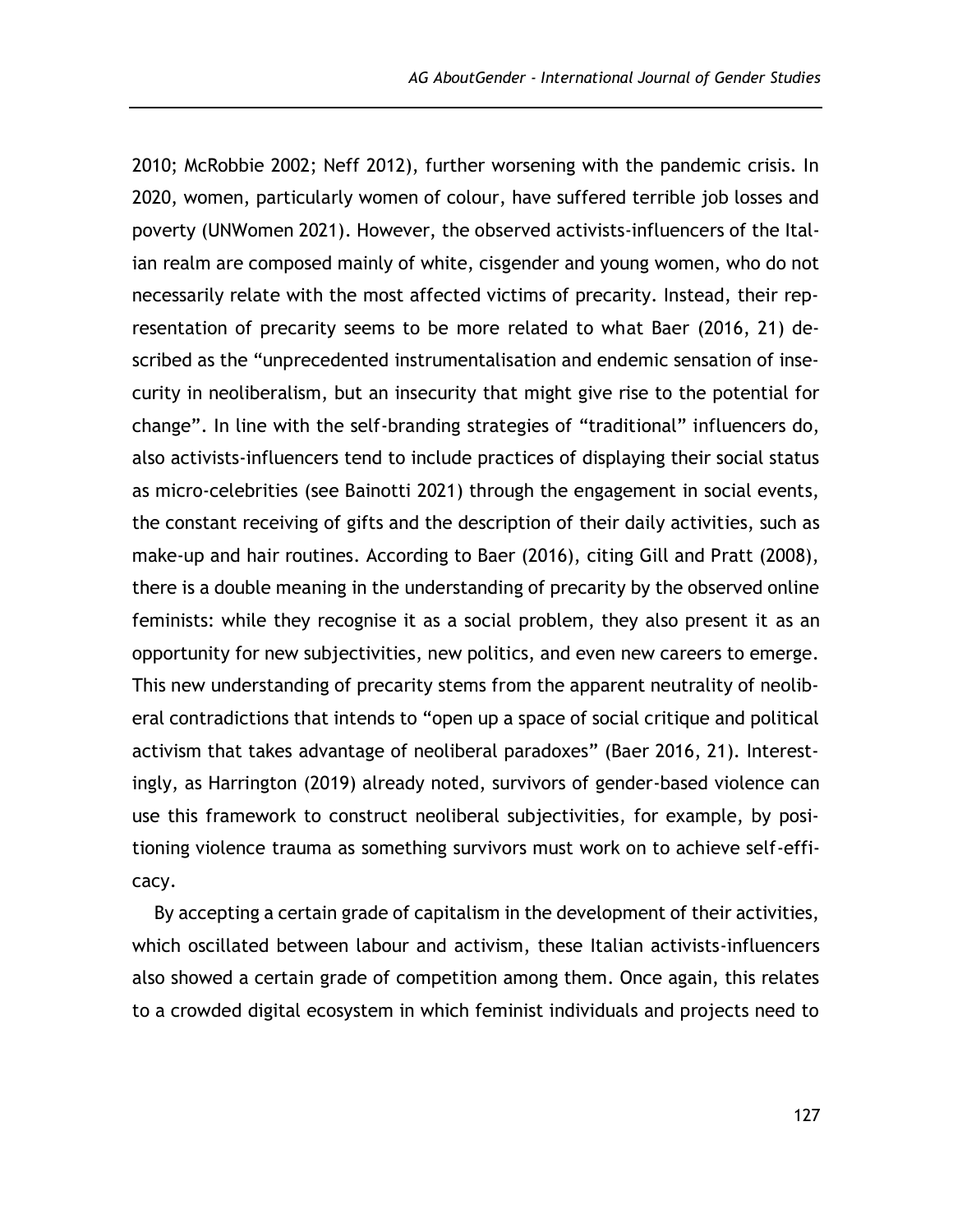2010; McRobbie 2002; Neff 2012), further worsening with the pandemic crisis. In 2020, women, particularly women of colour, have suffered terrible job losses and poverty (UNWomen 2021). However, the observed activists-influencers of the Italian realm are composed mainly of white, cisgender and young women, who do not necessarily relate with the most affected victims of precarity. Instead, their representation of precarity seems to be more related to what Baer (2016, 21) described as the "unprecedented instrumentalisation and endemic sensation of insecurity in neoliberalism, but an insecurity that might give rise to the potential for change". In line with the self-branding strategies of "traditional" influencers do, also activists-influencers tend to include practices of displaying their social status as micro-celebrities (see Bainotti 2021) through the engagement in social events, the constant receiving of gifts and the description of their daily activities, such as make-up and hair routines. According to Baer (2016), citing Gill and Pratt (2008), there is a double meaning in the understanding of precarity by the observed online feminists: while they recognise it as a social problem, they also present it as an opportunity for new subjectivities, new politics, and even new careers to emerge. This new understanding of precarity stems from the apparent neutrality of neoliberal contradictions that intends to "open up a space of social critique and political activism that takes advantage of neoliberal paradoxes" (Baer 2016, 21). Interestingly, as Harrington (2019) already noted, survivors of gender-based violence can use this framework to construct neoliberal subjectivities, for example, by positioning violence trauma as something survivors must work on to achieve self-efficacy.

By accepting a certain grade of capitalism in the development of their activities, which oscillated between labour and activism, these Italian activists-influencers also showed a certain grade of competition among them. Once again, this relates to a crowded digital ecosystem in which feminist individuals and projects need to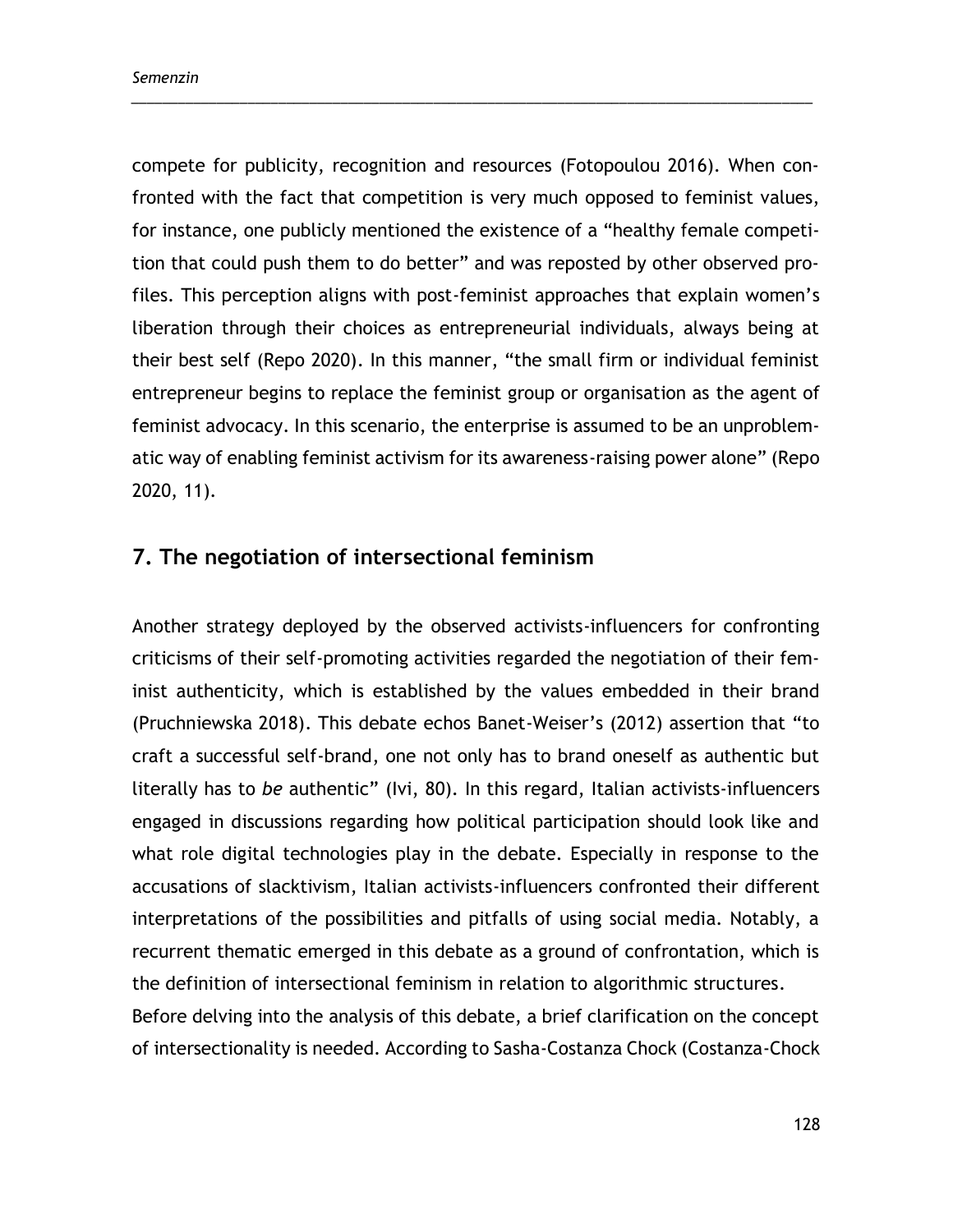compete for publicity, recognition and resources (Fotopoulou 2016). When confronted with the fact that competition is very much opposed to feminist values, for instance, one publicly mentioned the existence of a "healthy female competition that could push them to do better" and was reposted by other observed profiles. This perception aligns with post-feminist approaches that explain women's liberation through their choices as entrepreneurial individuals, always being at their best self (Repo 2020). In this manner, "the small firm or individual feminist entrepreneur begins to replace the feminist group or organisation as the agent of feminist advocacy. In this scenario, the enterprise is assumed to be an unproblematic way of enabling feminist activism for its awareness-raising power alone" (Repo 2020, 11).

\_\_\_\_\_\_\_\_\_\_\_\_\_\_\_\_\_\_\_\_\_\_\_\_\_\_\_\_\_\_\_\_\_\_\_\_\_\_\_\_\_\_\_\_\_\_\_\_\_\_\_\_\_\_\_\_\_\_\_\_\_\_\_\_\_\_\_\_\_\_\_\_\_\_\_\_\_\_\_\_\_\_\_\_\_\_\_\_

## **7. The negotiation of intersectional feminism**

Another strategy deployed by the observed activists-influencers for confronting criticisms of their self-promoting activities regarded the negotiation of their feminist authenticity, which is established by the values embedded in their brand (Pruchniewska 2018). This debate echos Banet-Weiser's (2012) assertion that "to craft a successful self-brand, one not only has to brand oneself as authentic but literally has to *be* authentic" (Ivi, 80). In this regard, Italian activists-influencers engaged in discussions regarding how political participation should look like and what role digital technologies play in the debate. Especially in response to the accusations of slacktivism, Italian activists-influencers confronted their different interpretations of the possibilities and pitfalls of using social media. Notably, a recurrent thematic emerged in this debate as a ground of confrontation, which is the definition of intersectional feminism in relation to algorithmic structures. Before delving into the analysis of this debate, a brief clarification on the concept of intersectionality is needed. According to Sasha-Costanza Chock (Costanza-Chock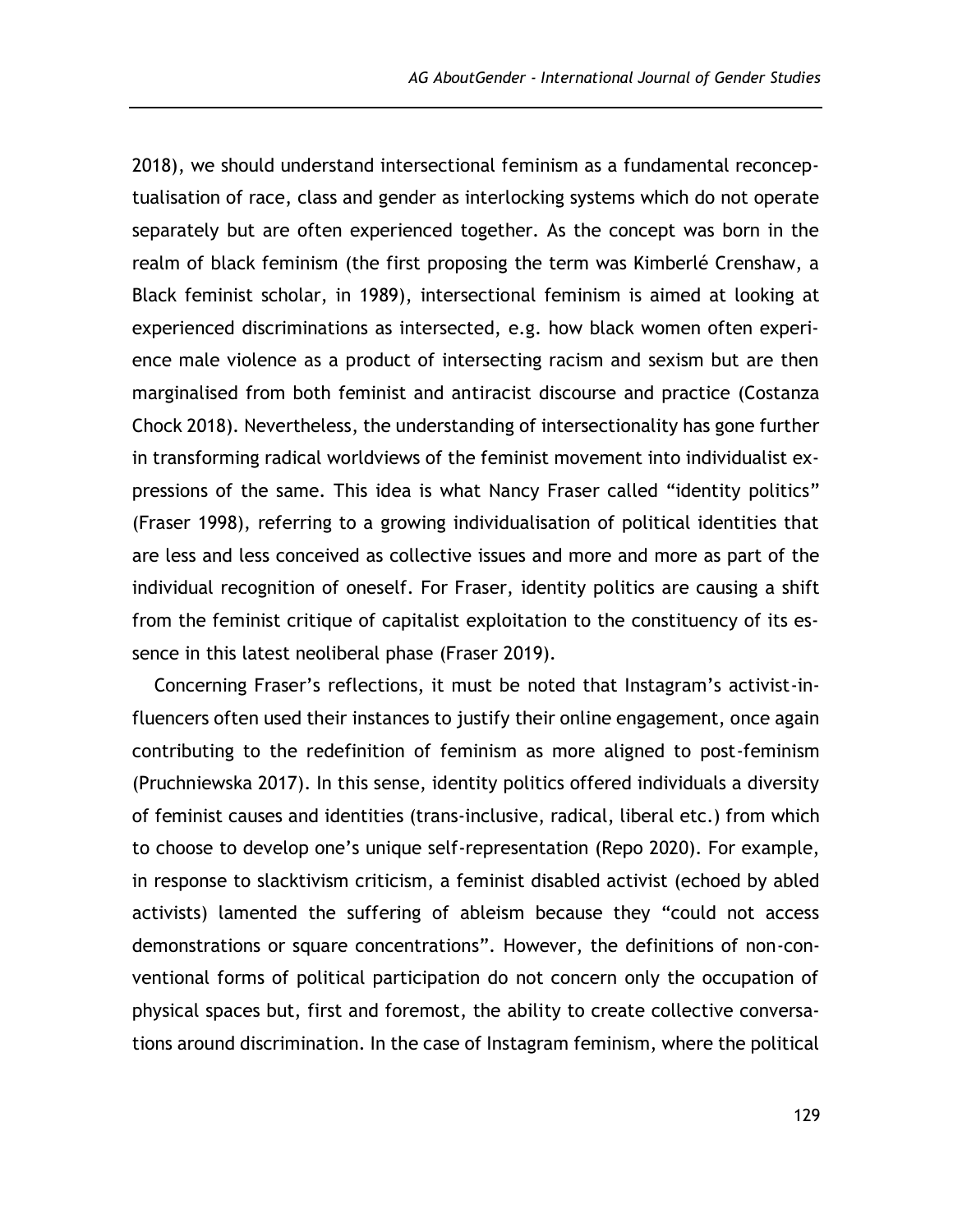2018), we should understand intersectional feminism as a fundamental reconceptualisation of race, class and gender as interlocking systems which do not operate separately but are often experienced together. As the concept was born in the realm of black feminism (the first proposing the term was Kimberlé Crenshaw, a Black feminist scholar, in 1989), intersectional feminism is aimed at looking at experienced discriminations as intersected, e.g. how black women often experience male violence as a product of intersecting racism and sexism but are then marginalised from both feminist and antiracist discourse and practice (Costanza Chock 2018). Nevertheless, the understanding of intersectionality has gone further in transforming radical worldviews of the feminist movement into individualist expressions of the same. This idea is what Nancy Fraser called "identity politics" (Fraser 1998), referring to a growing individualisation of political identities that are less and less conceived as collective issues and more and more as part of the individual recognition of oneself. For Fraser, identity politics are causing a shift from the feminist critique of capitalist exploitation to the constituency of its essence in this latest neoliberal phase (Fraser 2019).

Concerning Fraser's reflections, it must be noted that Instagram's activist-influencers often used their instances to justify their online engagement, once again contributing to the redefinition of feminism as more aligned to post-feminism (Pruchniewska 2017). In this sense, identity politics offered individuals a diversity of feminist causes and identities (trans-inclusive, radical, liberal etc.) from which to choose to develop one's unique self-representation (Repo 2020). For example, in response to slacktivism criticism, a feminist disabled activist (echoed by abled activists) lamented the suffering of ableism because they "could not access demonstrations or square concentrations". However, the definitions of non-conventional forms of political participation do not concern only the occupation of physical spaces but, first and foremost, the ability to create collective conversations around discrimination. In the case of Instagram feminism, where the political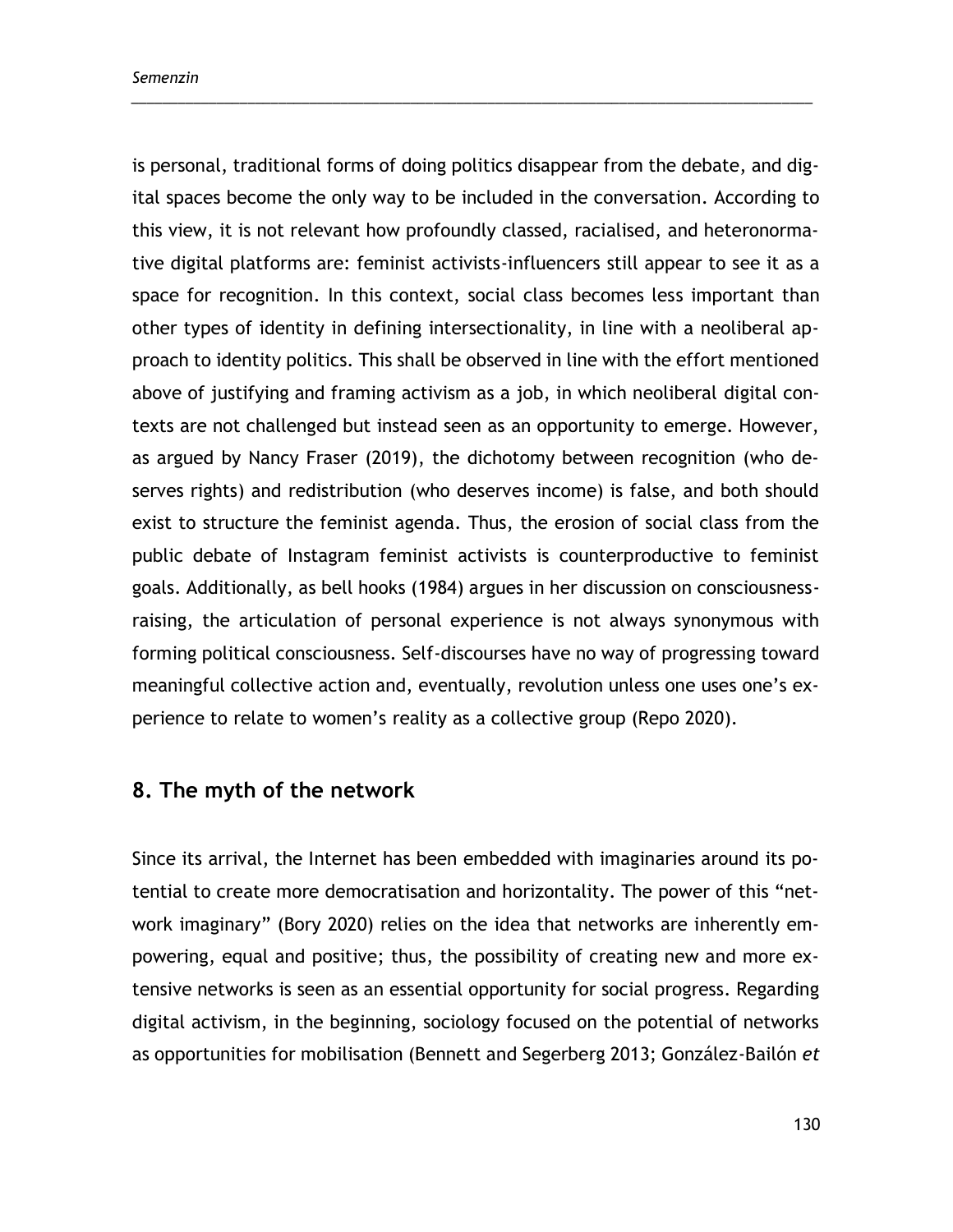is personal, traditional forms of doing politics disappear from the debate, and digital spaces become the only way to be included in the conversation. According to this view, it is not relevant how profoundly classed, racialised, and heteronormative digital platforms are: feminist activists-influencers still appear to see it as a space for recognition. In this context, social class becomes less important than other types of identity in defining intersectionality, in line with a neoliberal approach to identity politics. This shall be observed in line with the effort mentioned above of justifying and framing activism as a job, in which neoliberal digital contexts are not challenged but instead seen as an opportunity to emerge. However, as argued by Nancy Fraser (2019), the dichotomy between recognition (who deserves rights) and redistribution (who deserves income) is false, and both should exist to structure the feminist agenda. Thus, the erosion of social class from the public debate of Instagram feminist activists is counterproductive to feminist goals. Additionally, as bell hooks (1984) argues in her discussion on consciousnessraising, the articulation of personal experience is not always synonymous with forming political consciousness. Self-discourses have no way of progressing toward meaningful collective action and, eventually, revolution unless one uses one's experience to relate to women's reality as a collective group (Repo 2020).

\_\_\_\_\_\_\_\_\_\_\_\_\_\_\_\_\_\_\_\_\_\_\_\_\_\_\_\_\_\_\_\_\_\_\_\_\_\_\_\_\_\_\_\_\_\_\_\_\_\_\_\_\_\_\_\_\_\_\_\_\_\_\_\_\_\_\_\_\_\_\_\_\_\_\_\_\_\_\_\_\_\_\_\_\_\_\_\_

## **8. The myth of the network**

Since its arrival, the Internet has been embedded with imaginaries around its potential to create more democratisation and horizontality. The power of this "network imaginary" (Bory 2020) relies on the idea that networks are inherently empowering, equal and positive; thus, the possibility of creating new and more extensive networks is seen as an essential opportunity for social progress. Regarding digital activism, in the beginning, sociology focused on the potential of networks as opportunities for mobilisation (Bennett and Segerberg 2013; González-Bailón *et*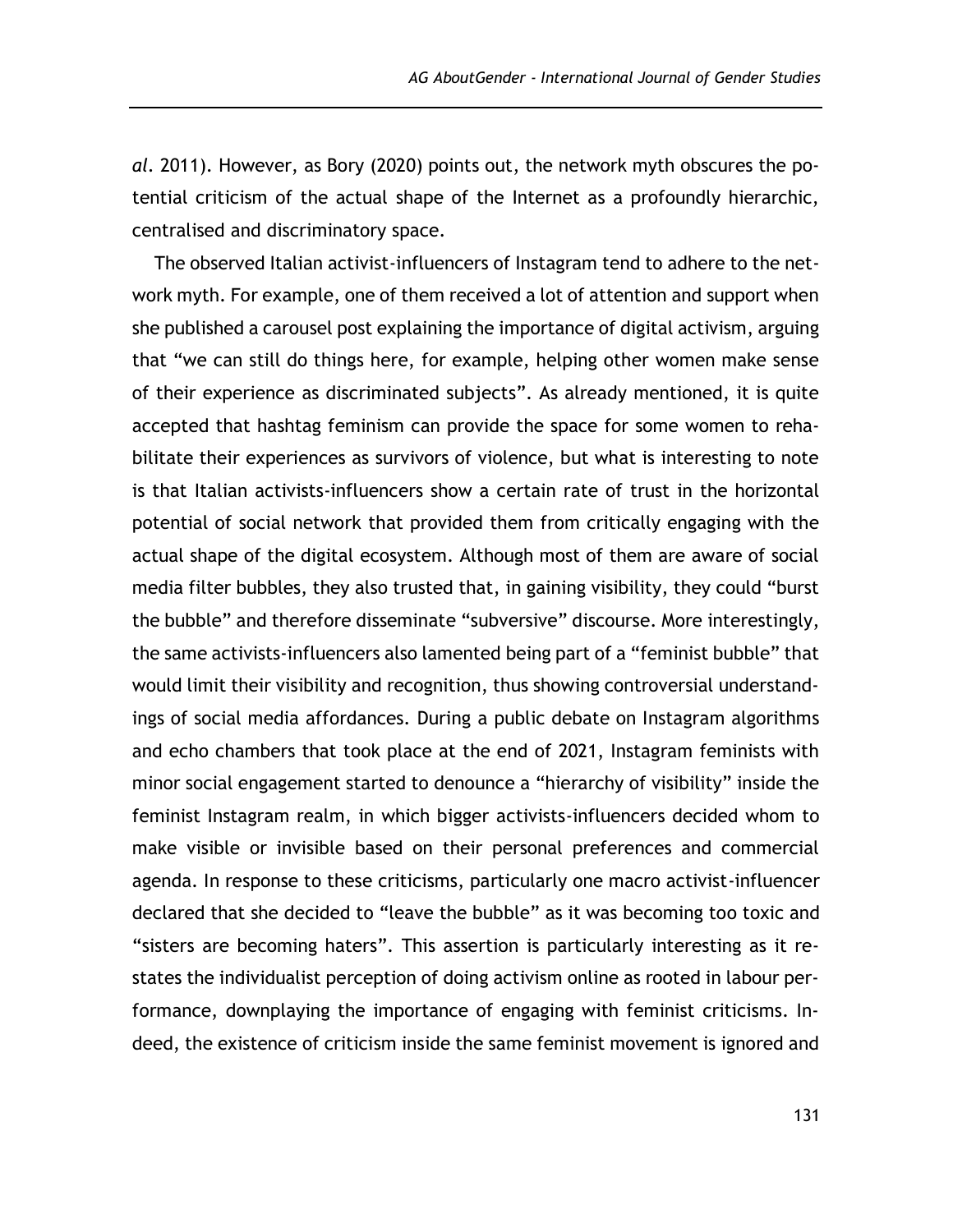*al.* 2011). However, as Bory (2020) points out, the network myth obscures the potential criticism of the actual shape of the Internet as a profoundly hierarchic, centralised and discriminatory space.

The observed Italian activist-influencers of Instagram tend to adhere to the network myth. For example, one of them received a lot of attention and support when she published a carousel post explaining the importance of digital activism, arguing that "we can still do things here, for example, helping other women make sense of their experience as discriminated subjects". As already mentioned, it is quite accepted that hashtag feminism can provide the space for some women to rehabilitate their experiences as survivors of violence, but what is interesting to note is that Italian activists-influencers show a certain rate of trust in the horizontal potential of social network that provided them from critically engaging with the actual shape of the digital ecosystem. Although most of them are aware of social media filter bubbles, they also trusted that, in gaining visibility, they could "burst the bubble" and therefore disseminate "subversive" discourse. More interestingly, the same activists-influencers also lamented being part of a "feminist bubble" that would limit their visibility and recognition, thus showing controversial understandings of social media affordances. During a public debate on Instagram algorithms and echo chambers that took place at the end of 2021, Instagram feminists with minor social engagement started to denounce a "hierarchy of visibility" inside the feminist Instagram realm, in which bigger activists-influencers decided whom to make visible or invisible based on their personal preferences and commercial agenda. In response to these criticisms, particularly one macro activist-influencer declared that she decided to "leave the bubble" as it was becoming too toxic and "sisters are becoming haters". This assertion is particularly interesting as it restates the individualist perception of doing activism online as rooted in labour performance, downplaying the importance of engaging with feminist criticisms. Indeed, the existence of criticism inside the same feminist movement is ignored and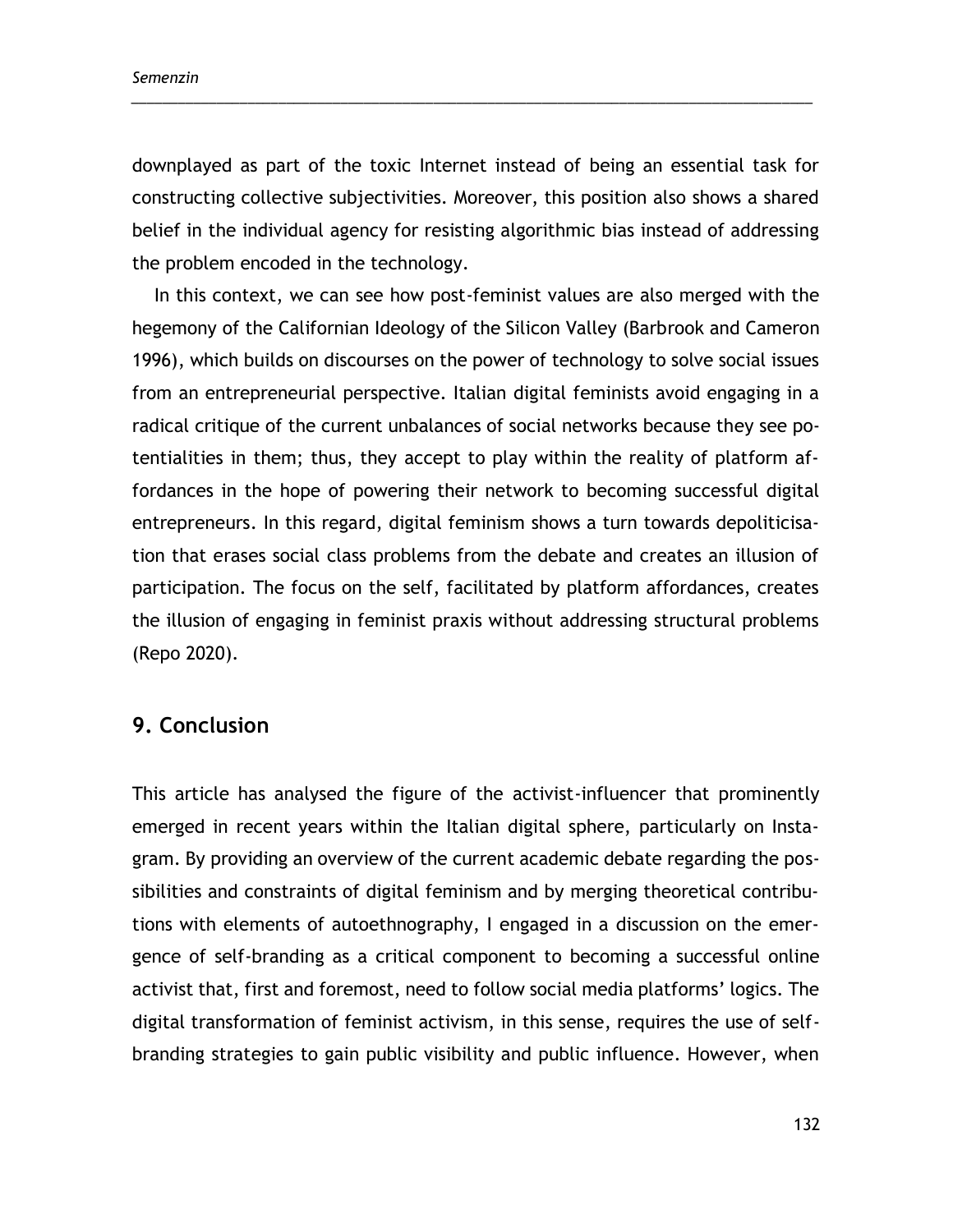downplayed as part of the toxic Internet instead of being an essential task for constructing collective subjectivities. Moreover, this position also shows a shared belief in the individual agency for resisting algorithmic bias instead of addressing the problem encoded in the technology.

\_\_\_\_\_\_\_\_\_\_\_\_\_\_\_\_\_\_\_\_\_\_\_\_\_\_\_\_\_\_\_\_\_\_\_\_\_\_\_\_\_\_\_\_\_\_\_\_\_\_\_\_\_\_\_\_\_\_\_\_\_\_\_\_\_\_\_\_\_\_\_\_\_\_\_\_\_\_\_\_\_\_\_\_\_\_\_\_

In this context, we can see how post-feminist values are also merged with the hegemony of the Californian Ideology of the Silicon Valley (Barbrook and Cameron 1996), which builds on discourses on the power of technology to solve social issues from an entrepreneurial perspective. Italian digital feminists avoid engaging in a radical critique of the current unbalances of social networks because they see potentialities in them; thus, they accept to play within the reality of platform affordances in the hope of powering their network to becoming successful digital entrepreneurs. In this regard, digital feminism shows a turn towards depoliticisation that erases social class problems from the debate and creates an illusion of participation. The focus on the self, facilitated by platform affordances, creates the illusion of engaging in feminist praxis without addressing structural problems (Repo 2020).

#### **9. Conclusion**

This article has analysed the figure of the activist-influencer that prominently emerged in recent years within the Italian digital sphere, particularly on Instagram. By providing an overview of the current academic debate regarding the possibilities and constraints of digital feminism and by merging theoretical contributions with elements of autoethnography, I engaged in a discussion on the emergence of self-branding as a critical component to becoming a successful online activist that, first and foremost, need to follow social media platforms' logics. The digital transformation of feminist activism, in this sense, requires the use of selfbranding strategies to gain public visibility and public influence. However, when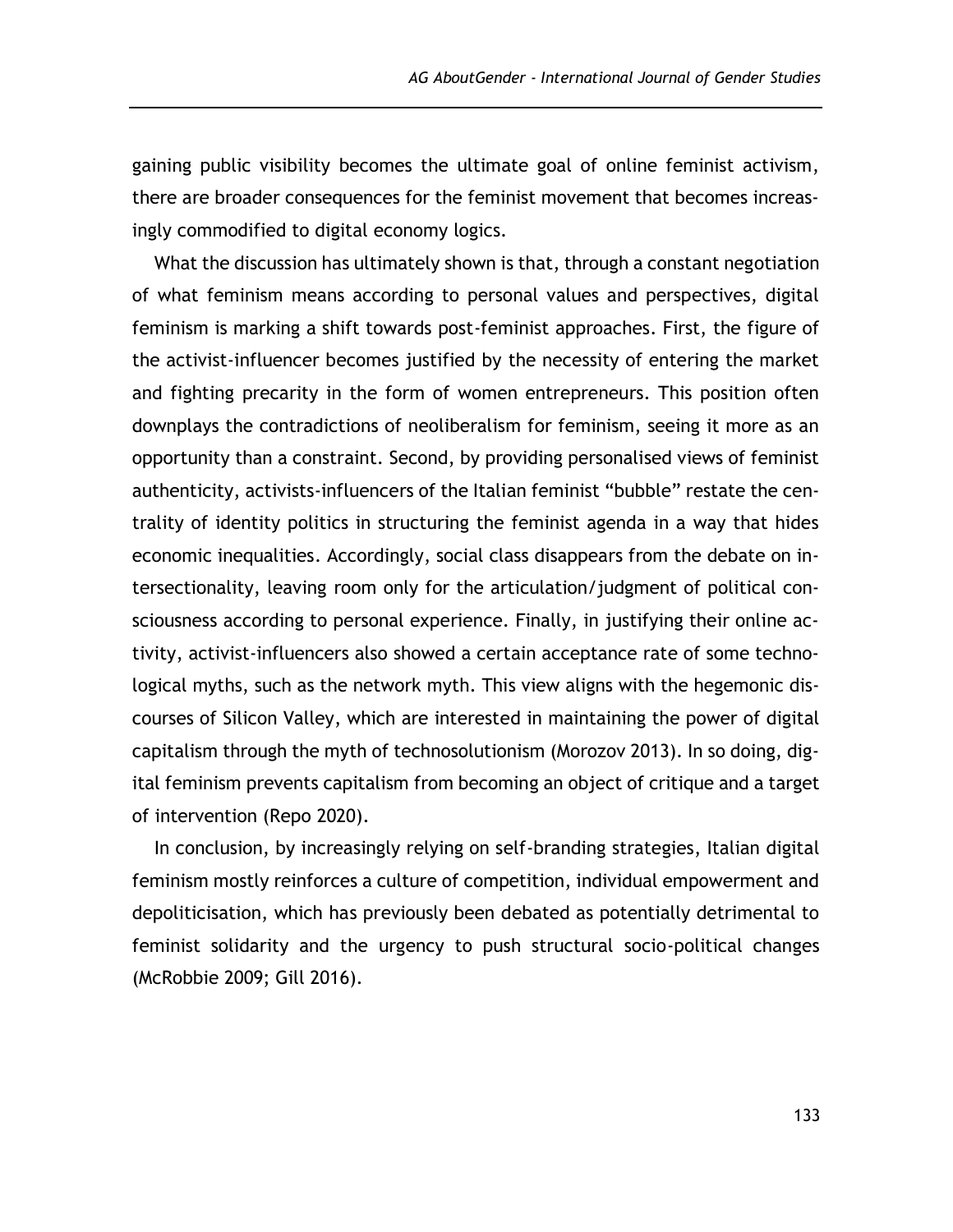gaining public visibility becomes the ultimate goal of online feminist activism, there are broader consequences for the feminist movement that becomes increasingly commodified to digital economy logics.

What the discussion has ultimately shown is that, through a constant negotiation of what feminism means according to personal values and perspectives, digital feminism is marking a shift towards post-feminist approaches. First, the figure of the activist-influencer becomes justified by the necessity of entering the market and fighting precarity in the form of women entrepreneurs. This position often downplays the contradictions of neoliberalism for feminism, seeing it more as an opportunity than a constraint. Second, by providing personalised views of feminist authenticity, activists-influencers of the Italian feminist "bubble" restate the centrality of identity politics in structuring the feminist agenda in a way that hides economic inequalities. Accordingly, social class disappears from the debate on intersectionality, leaving room only for the articulation/judgment of political consciousness according to personal experience. Finally, in justifying their online activity, activist-influencers also showed a certain acceptance rate of some technological myths, such as the network myth. This view aligns with the hegemonic discourses of Silicon Valley, which are interested in maintaining the power of digital capitalism through the myth of technosolutionism (Morozov 2013). In so doing, digital feminism prevents capitalism from becoming an object of critique and a target of intervention (Repo 2020).

In conclusion, by increasingly relying on self-branding strategies, Italian digital feminism mostly reinforces a culture of competition, individual empowerment and depoliticisation, which has previously been debated as potentially detrimental to feminist solidarity and the urgency to push structural socio-political changes (McRobbie 2009; Gill 2016).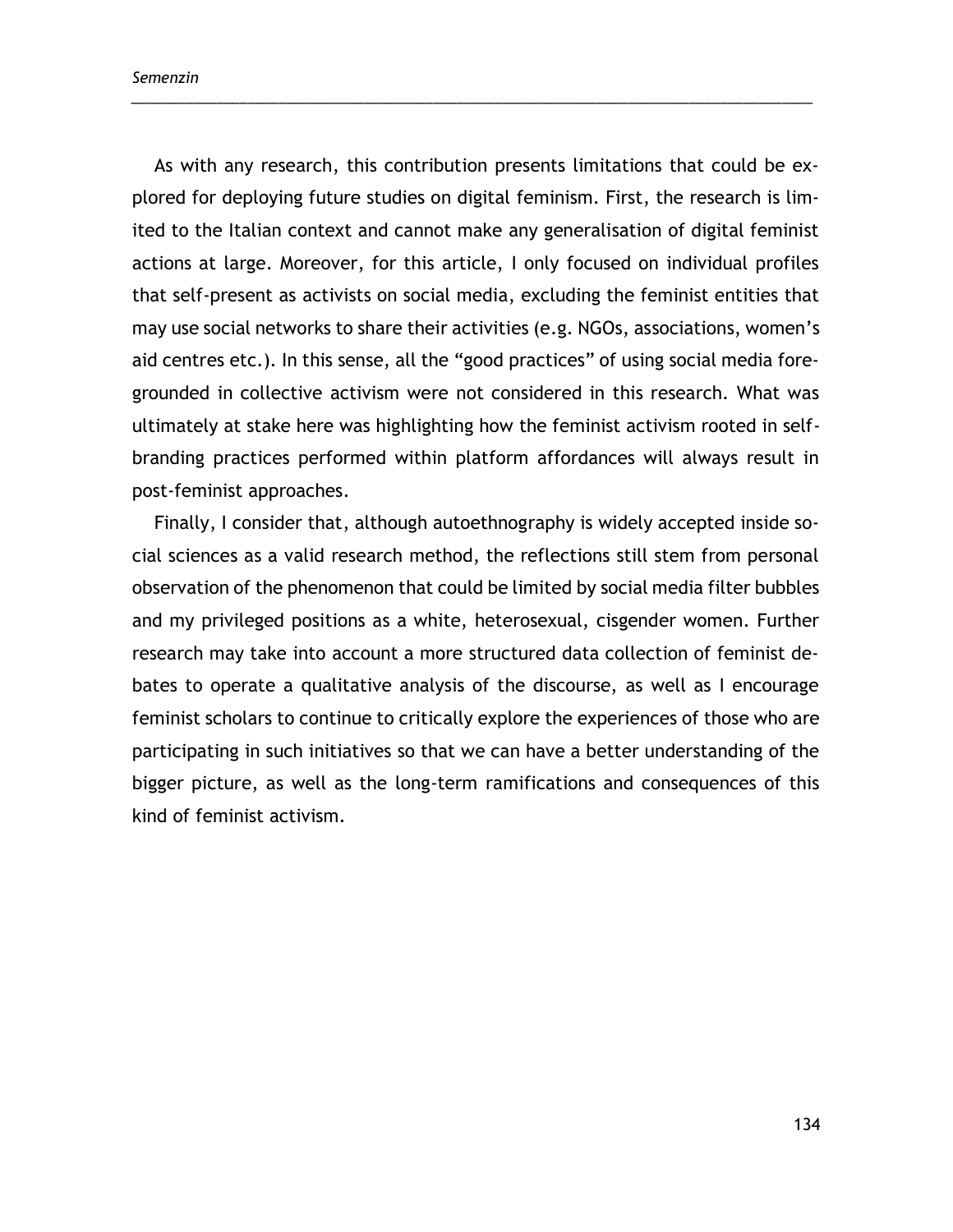As with any research, this contribution presents limitations that could be explored for deploying future studies on digital feminism. First, the research is limited to the Italian context and cannot make any generalisation of digital feminist actions at large. Moreover, for this article, I only focused on individual profiles that self-present as activists on social media, excluding the feminist entities that may use social networks to share their activities (e.g. NGOs, associations, women's aid centres etc.). In this sense, all the "good practices" of using social media foregrounded in collective activism were not considered in this research. What was ultimately at stake here was highlighting how the feminist activism rooted in selfbranding practices performed within platform affordances will always result in post-feminist approaches.

\_\_\_\_\_\_\_\_\_\_\_\_\_\_\_\_\_\_\_\_\_\_\_\_\_\_\_\_\_\_\_\_\_\_\_\_\_\_\_\_\_\_\_\_\_\_\_\_\_\_\_\_\_\_\_\_\_\_\_\_\_\_\_\_\_\_\_\_\_\_\_\_\_\_\_\_\_\_\_\_\_\_\_\_\_\_\_\_

Finally, I consider that, although autoethnography is widely accepted inside social sciences as a valid research method, the reflections still stem from personal observation of the phenomenon that could be limited by social media filter bubbles and my privileged positions as a white, heterosexual, cisgender women. Further research may take into account a more structured data collection of feminist debates to operate a qualitative analysis of the discourse, as well as I encourage feminist scholars to continue to critically explore the experiences of those who are participating in such initiatives so that we can have a better understanding of the bigger picture, as well as the long-term ramifications and consequences of this kind of feminist activism.

134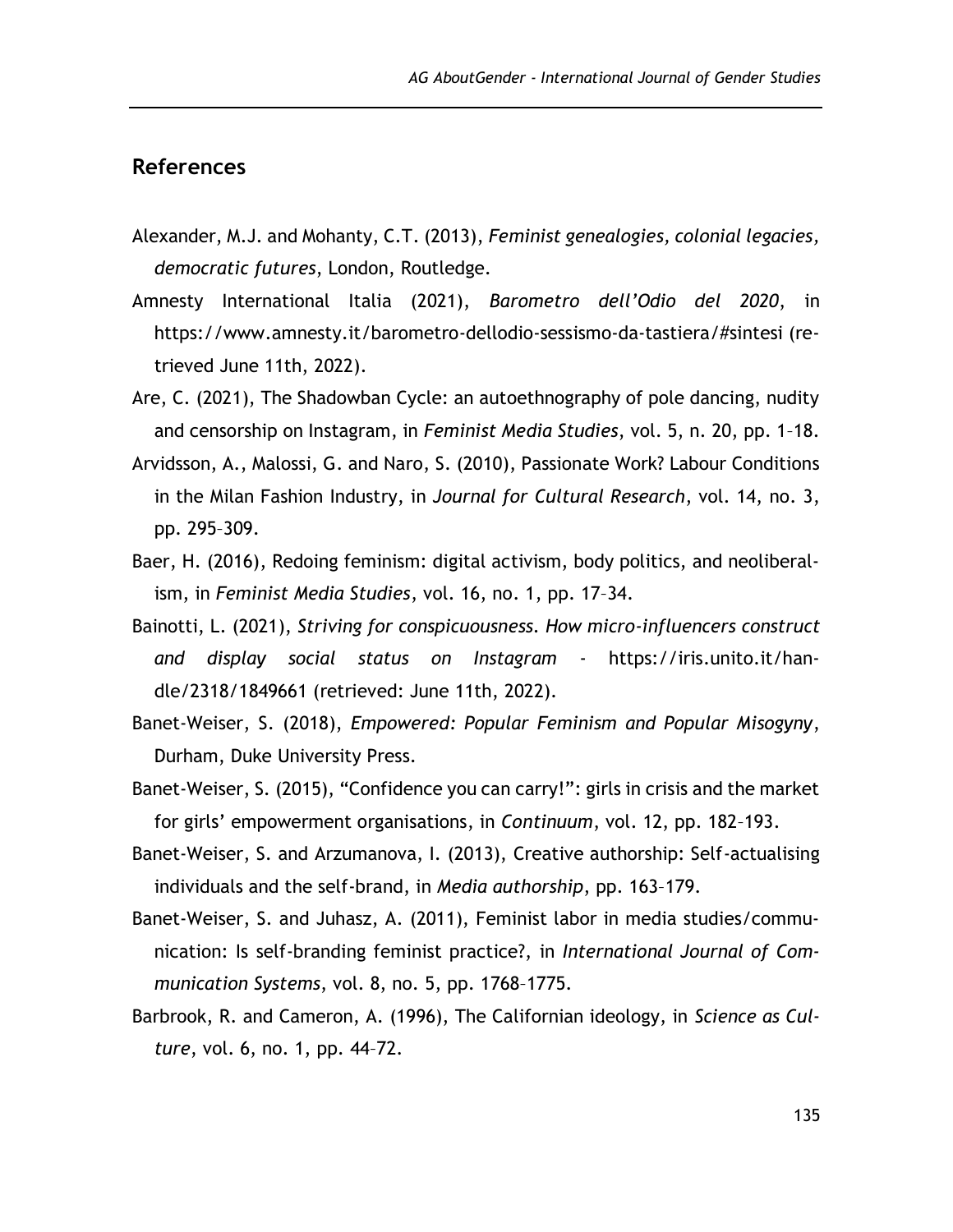## **References**

- Alexander, M.J. and Mohanty, C.T. (2013), *Feminist genealogies, colonial legacies, democratic futures*, London, Routledge.
- Amnesty International Italia (2021), *Barometro dell'Odio del 2020*, in https://www.amnesty.it/barometro-dellodio-sessismo-da-tastiera/#sintesi (retrieved June 11th, 2022).
- Are, C. (2021), The Shadowban Cycle: an autoethnography of pole dancing, nudity and censorship on Instagram, in *Feminist Media Studies*, vol. 5, n. 20, pp. 1–18.
- Arvidsson, A., Malossi, G. and Naro, S. (2010), Passionate Work? Labour Conditions in the Milan Fashion Industry, in *Journal for Cultural Research*, vol. 14, no. 3, pp. 295–309.
- Baer, H. (2016), Redoing feminism: digital activism, body politics, and neoliberalism, in *Feminist Media Studies*, vol. 16, no. 1, pp. 17–34.
- Bainotti, L. (2021), *Striving for conspicuousness. How micro-influencers construct and display social status on Instagram* - https://iris.unito.it/handle/2318/1849661 (retrieved: June 11th, 2022).
- Banet-Weiser, S. (2018), *Empowered: Popular Feminism and Popular Misogyny*, Durham, Duke University Press.
- Banet-Weiser, S. (2015), "Confidence you can carry!": girls in crisis and the market for girls' empowerment organisations, in *Continuum*, vol. 12, pp. 182–193.
- Banet-Weiser, S. and Arzumanova, I. (2013), Creative authorship: Self-actualising individuals and the self-brand, in *Media authorship*, pp. 163–179.
- Banet-Weiser, S. and Juhasz, A. (2011), Feminist labor in media studies/communication: Is self-branding feminist practice?, in *International Journal of Communication Systems*, vol. 8, no. 5, pp. 1768–1775.
- Barbrook, R. and Cameron, A. (1996), The Californian ideology, in *Science as Culture*, vol. 6, no. 1, pp. 44–72.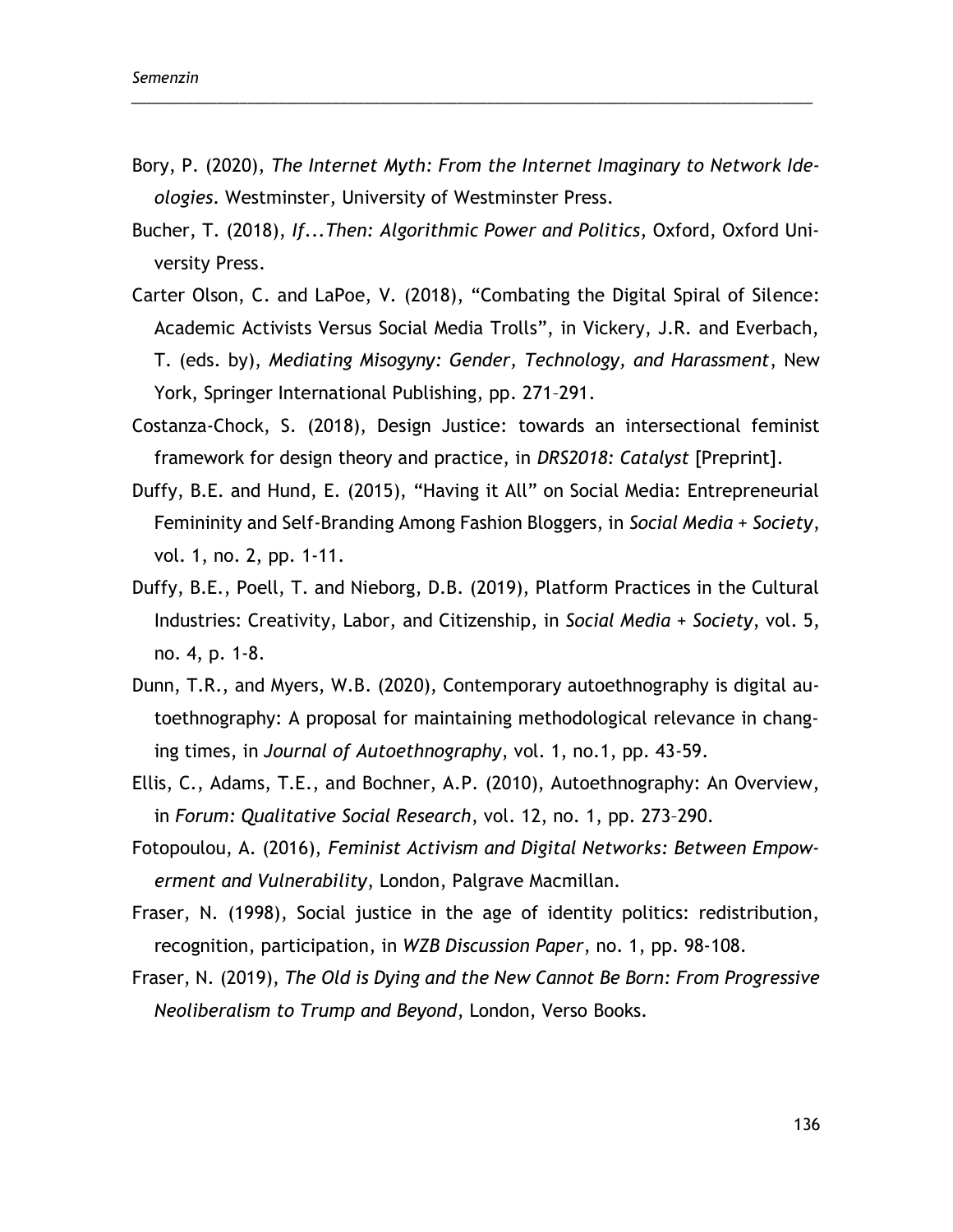Bory, P. (2020), *The Internet Myth: From the Internet Imaginary to Network Ideologies*. Westminster, University of Westminster Press.

\_\_\_\_\_\_\_\_\_\_\_\_\_\_\_\_\_\_\_\_\_\_\_\_\_\_\_\_\_\_\_\_\_\_\_\_\_\_\_\_\_\_\_\_\_\_\_\_\_\_\_\_\_\_\_\_\_\_\_\_\_\_\_\_\_\_\_\_\_\_\_\_\_\_\_\_\_\_\_\_\_\_\_\_\_\_\_\_

- Bucher, T. (2018), *If...Then: Algorithmic Power and Politics*, Oxford, Oxford University Press.
- Carter Olson, C. and LaPoe, V. (2018), "Combating the Digital Spiral of Silence: Academic Activists Versus Social Media Trolls", in Vickery, J.R. and Everbach, T. (eds. by), *Mediating Misogyny: Gender, Technology, and Harassment*, New York, Springer International Publishing, pp. 271–291.
- Costanza-Chock, S. (2018), Design Justice: towards an intersectional feminist framework for design theory and practice, in *DRS2018: Catalyst* [Preprint].
- Duffy, B.E. and Hund, E. (2015), "Having it All" on Social Media: Entrepreneurial Femininity and Self-Branding Among Fashion Bloggers, in *Social Media + Society*, vol. 1, no. 2, pp. 1-11.
- Duffy, B.E., Poell, T. and Nieborg, D.B. (2019), Platform Practices in the Cultural Industries: Creativity, Labor, and Citizenship, in *Social Media + Society*, vol. 5, no. 4, p. 1-8.
- Dunn, T.R., and Myers, W.B. (2020), Contemporary autoethnography is digital autoethnography: A proposal for maintaining methodological relevance in changing times, in *Journal of Autoethnography*, vol. 1, no.1, pp. 43-59.
- Ellis, C., Adams, T.E., and Bochner, A.P. (2010), Autoethnography: An Overview, in *Forum: Qualitative Social Research*, vol. 12, no. 1, pp. 273–290.
- Fotopoulou, A. (2016), *Feminist Activism and Digital Networks: Between Empowerment and Vulnerability*, London, Palgrave Macmillan.
- Fraser, N. (1998), Social justice in the age of identity politics: redistribution, recognition, participation, in *WZB Discussion Paper*, no. 1, pp. 98-108.
- Fraser, N. (2019), *The Old is Dying and the New Cannot Be Born: From Progressive Neoliberalism to Trump and Beyond*, London, Verso Books.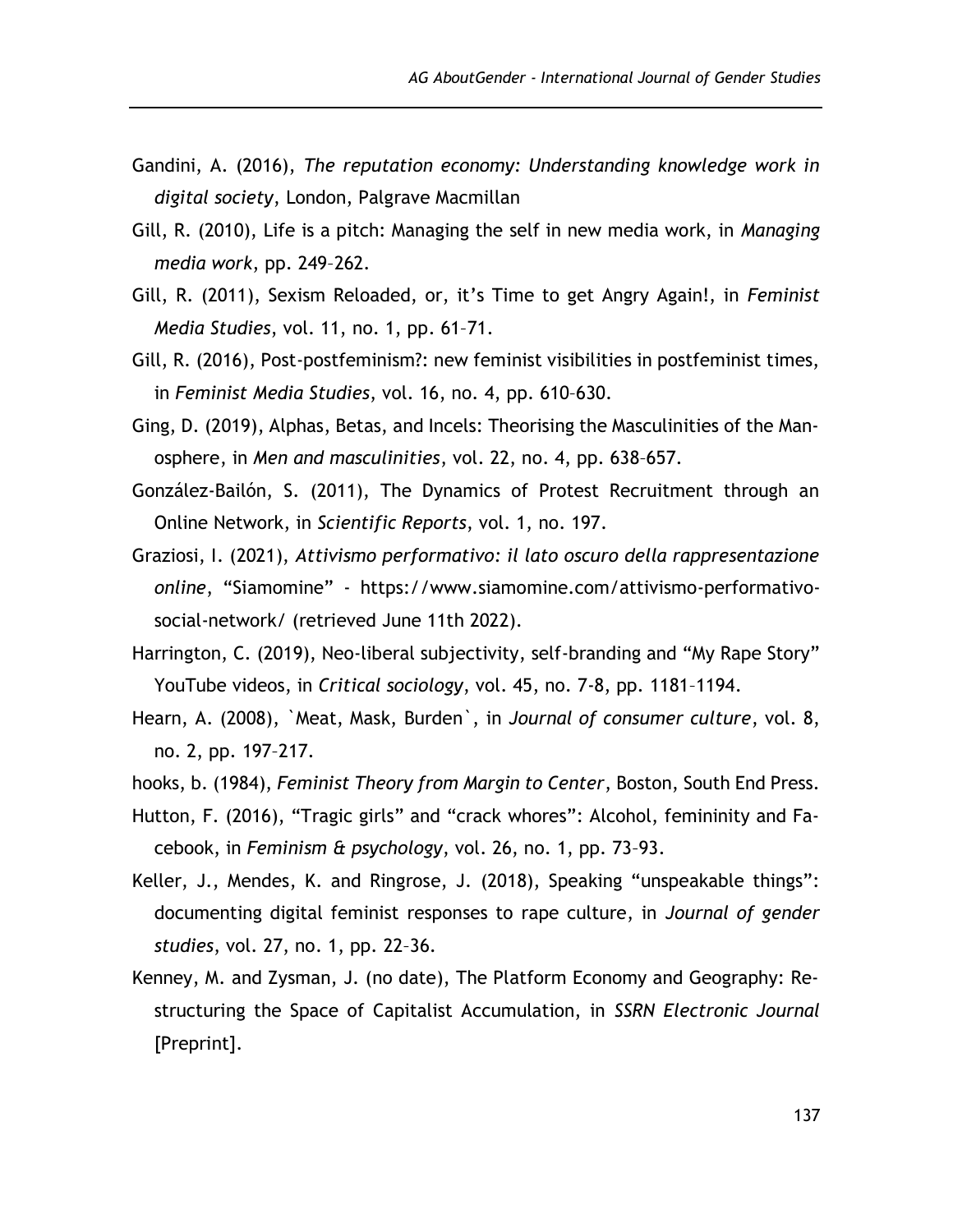- Gandini, A. (2016), *The reputation economy: Understanding knowledge work in digital society*, London, Palgrave Macmillan
- Gill, R. (2010), Life is a pitch: Managing the self in new media work, in *Managing media work*, pp. 249–262.
- Gill, R. (2011), Sexism Reloaded, or, it's Time to get Angry Again!, in *Feminist Media Studies*, vol. 11, no. 1, pp. 61–71.
- Gill, R. (2016), Post-postfeminism?: new feminist visibilities in postfeminist times, in *Feminist Media Studies*, vol. 16, no. 4, pp. 610–630.
- Ging, D. (2019), Alphas, Betas, and Incels: Theorising the Masculinities of the Manosphere, in *Men and masculinities*, vol. 22, no. 4, pp. 638–657.
- González-Bailón, S. (2011), The Dynamics of Protest Recruitment through an Online Network, in *Scientific Reports*, vol. 1, no. 197.
- Graziosi, I. (2021), *Attivismo performativo: il lato oscuro della rappresentazione online*, "Siamomine" - https://www.siamomine.com/attivismo-performativosocial-network/ (retrieved June 11th 2022).
- Harrington, C. (2019), Neo-liberal subjectivity, self-branding and "My Rape Story" YouTube videos, in *Critical sociology*, vol. 45, no. 7-8, pp. 1181–1194.
- Hearn, A. (2008), `Meat, Mask, Burden`, in *Journal of consumer culture*, vol. 8, no. 2, pp. 197–217.
- hooks, b. (1984), *Feminist Theory from Margin to Center*, Boston, South End Press.
- Hutton, F. (2016), "Tragic girls" and "crack whores": Alcohol, femininity and Facebook, in *Feminism & psychology*, vol. 26, no. 1, pp. 73–93.
- Keller, J., Mendes, K. and Ringrose, J. (2018), Speaking "unspeakable things": documenting digital feminist responses to rape culture, in *Journal of gender studies*, vol. 27, no. 1, pp. 22–36.
- Kenney, M. and Zysman, J. (no date), The Platform Economy and Geography: Restructuring the Space of Capitalist Accumulation, in *SSRN Electronic Journal* [Preprint].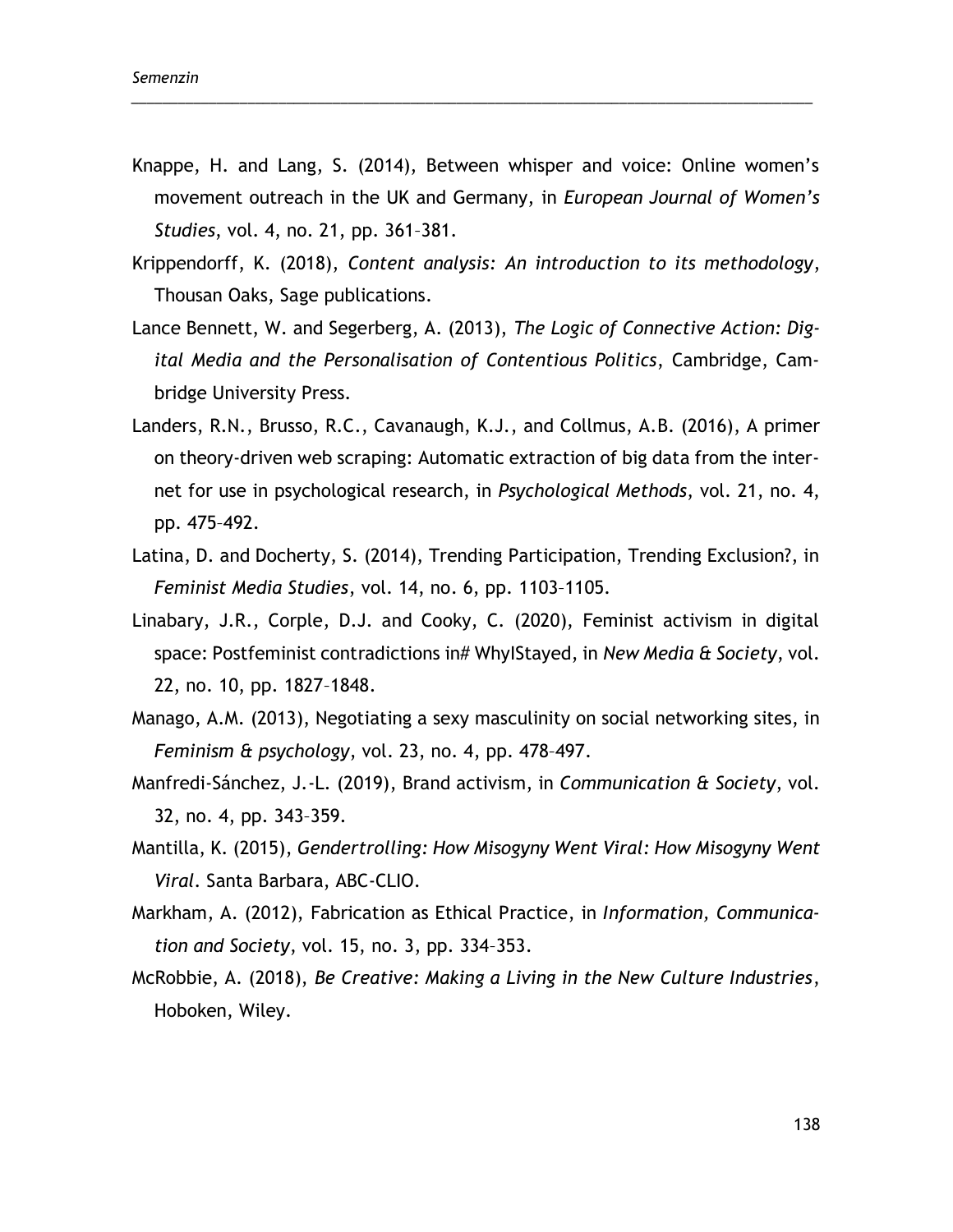Knappe, H. and Lang, S. (2014), Between whisper and voice: Online women's movement outreach in the UK and Germany, in *European Journal of Women's Studies*, vol. 4, no. 21, pp. 361–381.

\_\_\_\_\_\_\_\_\_\_\_\_\_\_\_\_\_\_\_\_\_\_\_\_\_\_\_\_\_\_\_\_\_\_\_\_\_\_\_\_\_\_\_\_\_\_\_\_\_\_\_\_\_\_\_\_\_\_\_\_\_\_\_\_\_\_\_\_\_\_\_\_\_\_\_\_\_\_\_\_\_\_\_\_\_\_\_\_

- Krippendorff, K. (2018), *Content analysis: An introduction to its methodology*, Thousan Oaks, Sage publications.
- Lance Bennett, W. and Segerberg, A. (2013), *The Logic of Connective Action: Digital Media and the Personalisation of Contentious Politics*, Cambridge, Cambridge University Press.
- Landers, R.N., Brusso, R.C., Cavanaugh, K.J., and Collmus, A.B. (2016), A primer on theory-driven web scraping: Automatic extraction of big data from the internet for use in psychological research, in *Psychological Methods*, vol. 21, no. 4, pp. 475–492.
- Latina, D. and Docherty, S. (2014), Trending Participation, Trending Exclusion?, in *Feminist Media Studies*, vol. 14, no. 6, pp. 1103–1105.
- Linabary, J.R., Corple, D.J. and Cooky, C. (2020), Feminist activism in digital space: Postfeminist contradictions in# WhyIStayed, in *New Media & Society*, vol. 22, no. 10, pp. 1827–1848.
- Manago, A.M. (2013), Negotiating a sexy masculinity on social networking sites, in *Feminism & psychology*, vol. 23, no. 4, pp. 478–497.
- Manfredi-Sánchez, J.-L. (2019), Brand activism, in *Communication & Society*, vol. 32, no. 4, pp. 343–359.
- Mantilla, K. (2015), *Gendertrolling: How Misogyny Went Viral: How Misogyny Went Viral*. Santa Barbara, ABC-CLIO.
- Markham, A. (2012), Fabrication as Ethical Practice, in *Information, Communication and Society*, vol. 15, no. 3, pp. 334–353.
- McRobbie, A. (2018), *Be Creative: Making a Living in the New Culture Industries*, Hoboken, Wiley.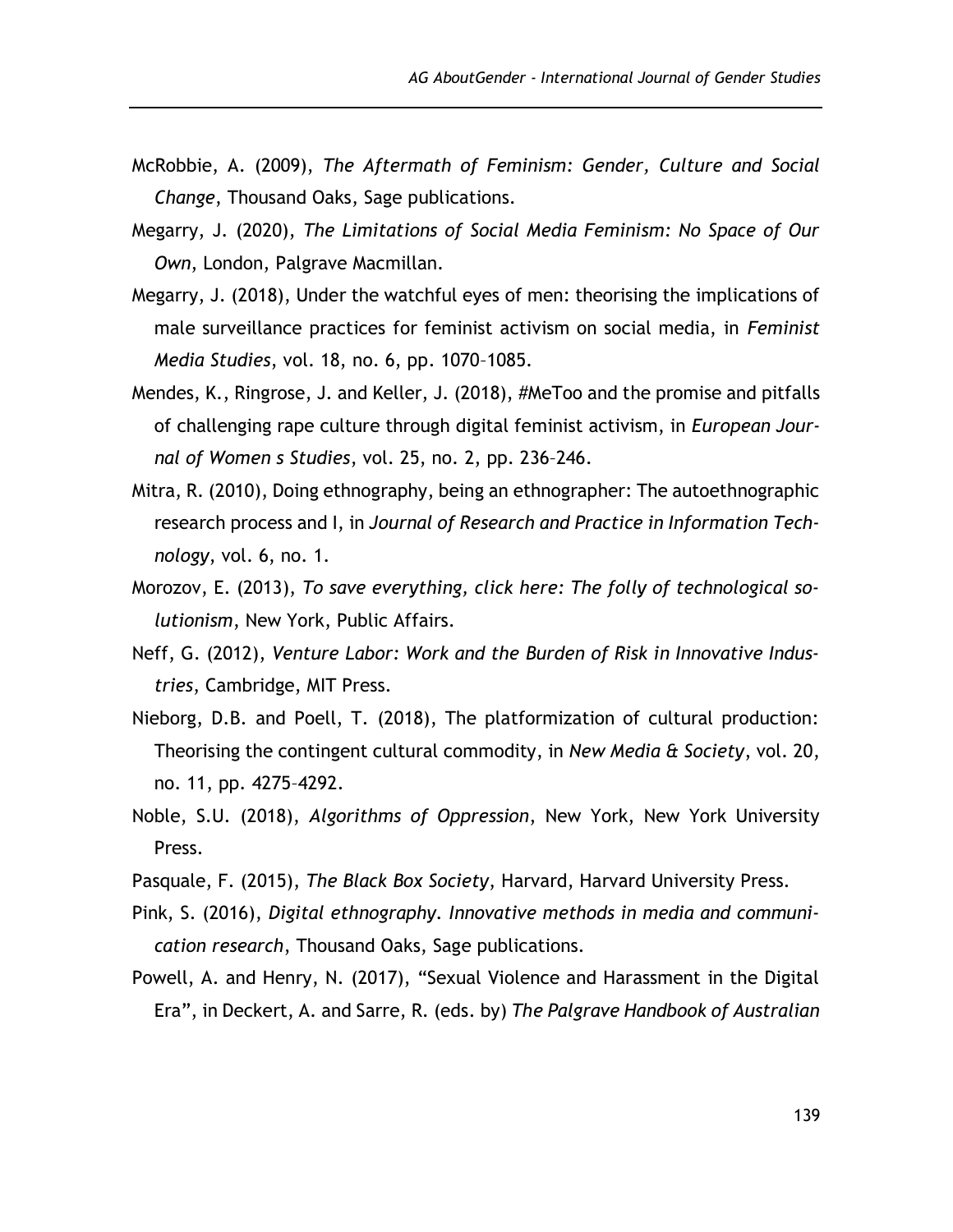- McRobbie, A. (2009), *The Aftermath of Feminism: Gender, Culture and Social Change*, Thousand Oaks, Sage publications.
- Megarry, J. (2020), *The Limitations of Social Media Feminism: No Space of Our Own*, London, Palgrave Macmillan.
- Megarry, J. (2018), Under the watchful eyes of men: theorising the implications of male surveillance practices for feminist activism on social media, in *Feminist Media Studies*, vol. 18, no. 6, pp. 1070–1085.
- Mendes, K., Ringrose, J. and Keller, J. (2018), #MeToo and the promise and pitfalls of challenging rape culture through digital feminist activism, in *European Journal of Women s Studies*, vol. 25, no. 2, pp. 236–246.
- Mitra, R. (2010), Doing ethnography, being an ethnographer: The autoethnographic research process and I, in *Journal of Research and Practice in Information Technology*, vol. 6, no. 1.
- Morozov, E. (2013), *To save everything, click here: The folly of technological solutionism*, New York, Public Affairs.
- Neff, G. (2012), *Venture Labor: Work and the Burden of Risk in Innovative Industries*, Cambridge, MIT Press.
- Nieborg, D.B. and Poell, T. (2018), The platformization of cultural production: Theorising the contingent cultural commodity, in *New Media & Society*, vol. 20, no. 11, pp. 4275–4292.
- Noble, S.U. (2018), *Algorithms of Oppression*, New York, New York University Press.
- Pasquale, F. (2015), *The Black Box Society*, Harvard, Harvard University Press.
- Pink, S. (2016), *Digital ethnography. Innovative methods in media and communication research*, Thousand Oaks, Sage publications.
- Powell, A. and Henry, N. (2017), "Sexual Violence and Harassment in the Digital Era", in Deckert, A. and Sarre, R. (eds. by) *The Palgrave Handbook of Australian*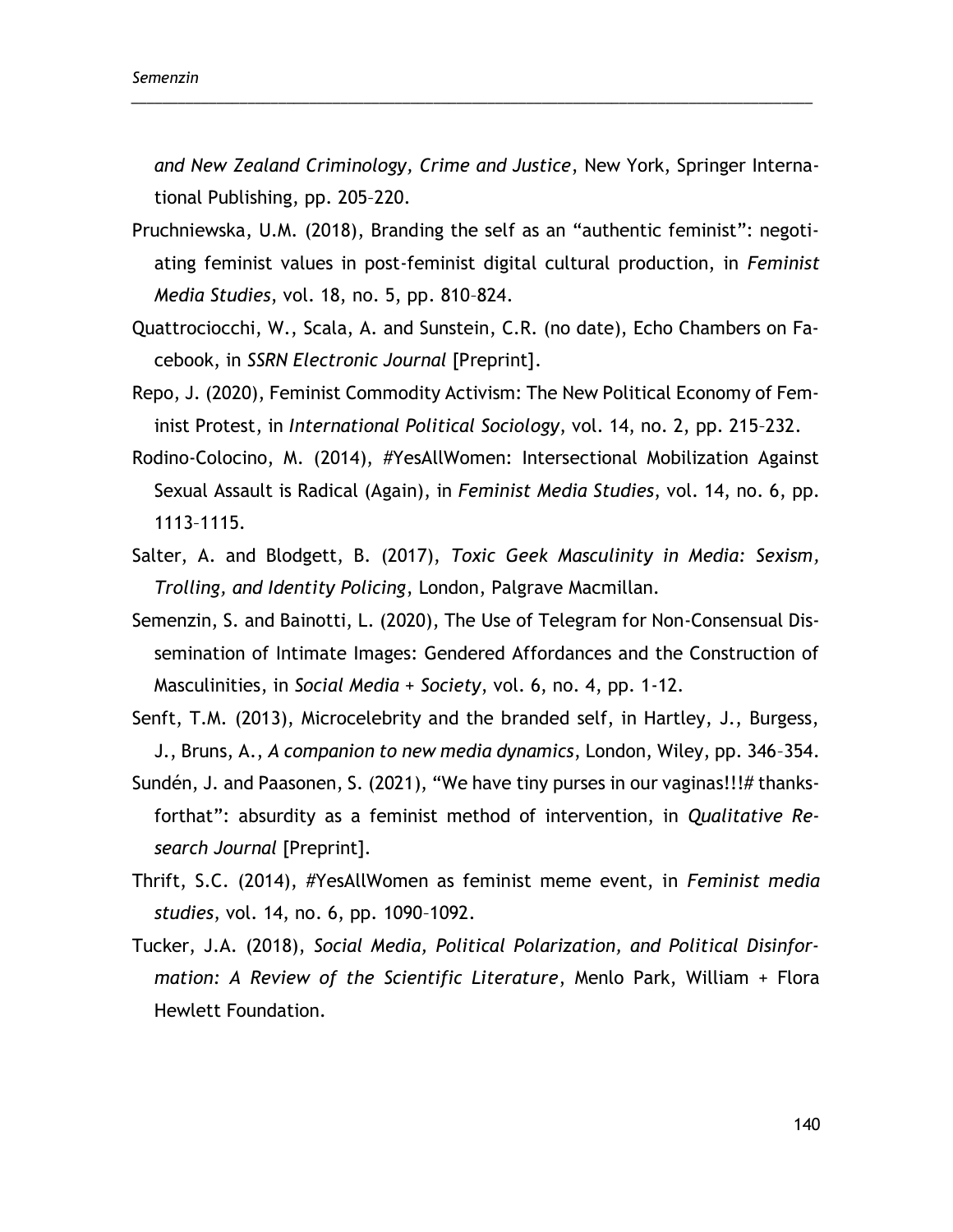*and New Zealand Criminology, Crime and Justice*, New York, Springer International Publishing, pp. 205–220.

\_\_\_\_\_\_\_\_\_\_\_\_\_\_\_\_\_\_\_\_\_\_\_\_\_\_\_\_\_\_\_\_\_\_\_\_\_\_\_\_\_\_\_\_\_\_\_\_\_\_\_\_\_\_\_\_\_\_\_\_\_\_\_\_\_\_\_\_\_\_\_\_\_\_\_\_\_\_\_\_\_\_\_\_\_\_\_\_

- Pruchniewska, U.M. (2018), Branding the self as an "authentic feminist": negotiating feminist values in post-feminist digital cultural production, in *Feminist Media Studies*, vol. 18, no. 5, pp. 810–824.
- Quattrociocchi, W., Scala, A. and Sunstein, C.R. (no date), Echo Chambers on Facebook, in *SSRN Electronic Journal* [Preprint].
- Repo, J. (2020), Feminist Commodity Activism: The New Political Economy of Feminist Protest, in *International Political Sociology*, vol. 14, no. 2, pp. 215–232.
- Rodino-Colocino, M. (2014), #YesAllWomen: Intersectional Mobilization Against Sexual Assault is Radical (Again), in *Feminist Media Studies*, vol. 14, no. 6, pp. 1113–1115.
- Salter, A. and Blodgett, B. (2017), *Toxic Geek Masculinity in Media: Sexism, Trolling, and Identity Policing*, London, Palgrave Macmillan.
- Semenzin, S. and Bainotti, L. (2020), The Use of Telegram for Non-Consensual Dissemination of Intimate Images: Gendered Affordances and the Construction of Masculinities, in *Social Media + Society*, vol. 6, no. 4, pp. 1-12.
- Senft, T.M. (2013), Microcelebrity and the branded self, in Hartley, J., Burgess, J., Bruns, A., *A companion to new media dynamics*, London, Wiley, pp. 346–354.
- Sundén, J. and Paasonen, S. (2021), "We have tiny purses in our vaginas!!!# thanksforthat": absurdity as a feminist method of intervention, in *Qualitative Research Journal* [Preprint].
- Thrift, S.C. (2014), #YesAllWomen as feminist meme event, in *Feminist media studies*, vol. 14, no. 6, pp. 1090–1092.
- Tucker, J.A. (2018), *Social Media, Political Polarization, and Political Disinformation: A Review of the Scientific Literature*, Menlo Park, William + Flora Hewlett Foundation.